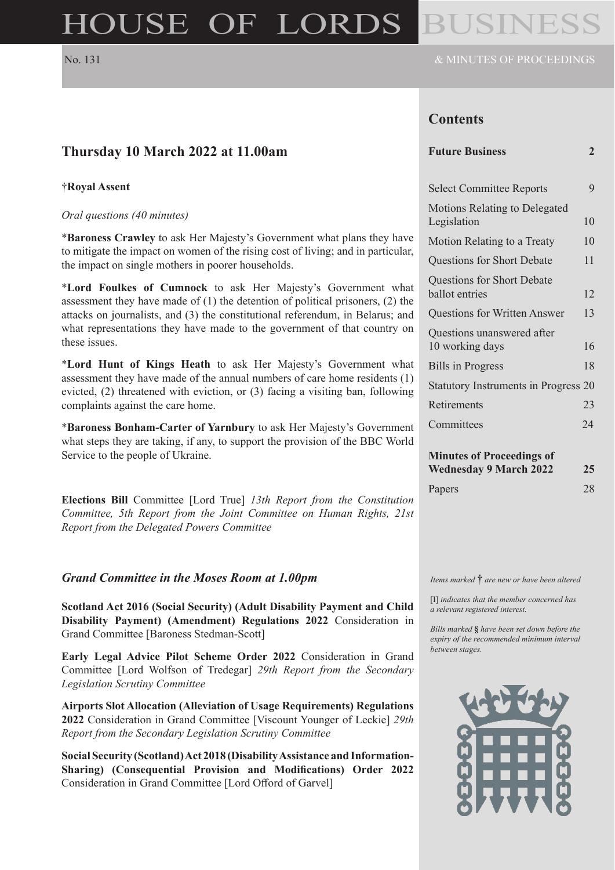# HOUSE OF LORDS

### **Contents**

| Thursday 10 March 2022 at 11.00am                                                                                                                                                                                                                                                                                                  | <b>Future Business</b>                        | $\overline{2}$ |
|------------------------------------------------------------------------------------------------------------------------------------------------------------------------------------------------------------------------------------------------------------------------------------------------------------------------------------|-----------------------------------------------|----------------|
| †Royal Assent                                                                                                                                                                                                                                                                                                                      | <b>Select Committee Reports</b>               | 9              |
| Oral questions (40 minutes)                                                                                                                                                                                                                                                                                                        | Motions Relating to Delegated<br>Legislation  | 10             |
| *Baroness Crawley to ask Her Majesty's Government what plans they have<br>to mitigate the impact on women of the rising cost of living; and in particular,<br>the impact on single mothers in poorer households.                                                                                                                   | Motion Relating to a Treaty                   | 10             |
|                                                                                                                                                                                                                                                                                                                                    | Questions for Short Debate                    | 11             |
| *Lord Foulkes of Cumnock to ask Her Majesty's Government what<br>assessment they have made of $(1)$ the detention of political prisoners, $(2)$ the<br>attacks on journalists, and (3) the constitutional referendum, in Belarus; and<br>what representations they have made to the government of that country on<br>these issues. | Questions for Short Debate<br>ballot entries  | 12             |
|                                                                                                                                                                                                                                                                                                                                    | <b>Questions for Written Answer</b>           | 13             |
|                                                                                                                                                                                                                                                                                                                                    | Questions unanswered after<br>10 working days | 16             |
| *Lord Hunt of Kings Heath to ask Her Majesty's Government what<br>assessment they have made of the annual numbers of care home residents (1)<br>evicted, (2) threatened with eviction, or (3) facing a visiting ban, following<br>complaints against the care home.                                                                | <b>Bills</b> in Progress                      | 18             |
|                                                                                                                                                                                                                                                                                                                                    | Statutory Instruments in Progress 20          |                |
|                                                                                                                                                                                                                                                                                                                                    | Retirements                                   | 23             |
| *Baroness Bonham-Carter of Yarnbury to ask Her Majesty's Government<br>what steps they are taking, if any, to support the provision of the BBC World<br>Service to the people of Ukraine.                                                                                                                                          | Committees                                    | 24             |
|                                                                                                                                                                                                                                                                                                                                    | <b>Minutes of Proceedings of</b>              |                |
|                                                                                                                                                                                                                                                                                                                                    | <b>Wednesday 9 March 2022</b>                 | 25             |
| Elections Bill Committee [Lord True] 13th Report from the Constitution<br>Committee, 5th Report from the Joint Committee on Human Rights, 21st                                                                                                                                                                                     | Papers                                        | 28             |

*Grand Committee in the Moses Room at 1.00pm*

*Report from the Delegated Powers Committee*

**Scotland Act 2016 (Social Security) (Adult Disability Payment and Child Disability Payment) (Amendment) Regulations 2022** Consideration in Grand Committee [Baroness Stedman-Scott]

**Early Legal Advice Pilot Scheme Order 2022** Consideration in Grand Committee [Lord Wolfson of Tredegar] *29th Report from the Secondary Legislation Scrutiny Committee*

**Airports Slot Allocation (Alleviation of Usage Requirements) Regulations 2022** Consideration in Grand Committee [Viscount Younger of Leckie] *29th Report from the Secondary Legislation Scrutiny Committee*

**Social Security (Scotland) Act 2018 (Disability Assistance and Information-Sharing) (Consequential Provision and Modifications) Order 2022** Consideration in Grand Committee [Lord Offord of Garvel]

*Items marked* † *are new or have been altered*

[I] *indicates that the member concerned has a relevant registered interest.*

*Bills marked* **§** *have been set down before the expiry of the recommended minimum interval between stages.*

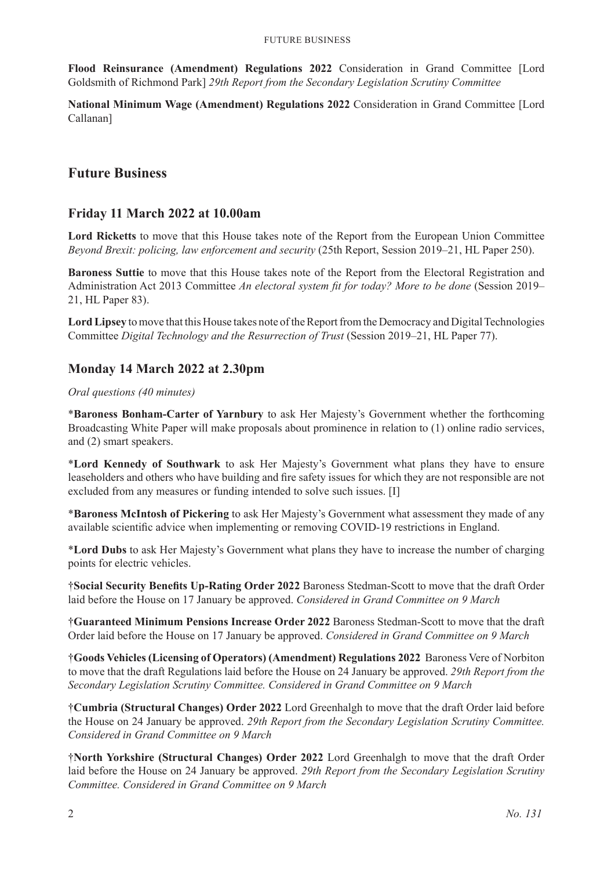**Flood Reinsurance (Amendment) Regulations 2022** Consideration in Grand Committee [Lord Goldsmith of Richmond Park] *29th Report from the Secondary Legislation Scrutiny Committee*

**National Minimum Wage (Amendment) Regulations 2022** Consideration in Grand Committee [Lord Callanan]

### **Future Business**

### **Friday 11 March 2022 at 10.00am**

**Lord Ricketts** to move that this House takes note of the Report from the European Union Committee *Beyond Brexit: policing, law enforcement and security* (25th Report, Session 2019–21, HL Paper 250).

**Baroness Suttie** to move that this House takes note of the Report from the Electoral Registration and Administration Act 2013 Committee *An electoral system fit for today? More to be done* (Session 2019– 21, HL Paper 83).

**Lord Lipsey** to move that this House takes note of the Report from the Democracy and Digital Technologies Committee *Digital Technology and the Resurrection of Trust* (Session 2019–21, HL Paper 77).

### **Monday 14 March 2022 at 2.30pm**

#### *Oral questions (40 minutes)*

\***Baroness Bonham-Carter of Yarnbury** to ask Her Majesty's Government whether the forthcoming Broadcasting White Paper will make proposals about prominence in relation to (1) online radio services, and (2) smart speakers.

\***Lord Kennedy of Southwark** to ask Her Majesty's Government what plans they have to ensure leaseholders and others who have building and fire safety issues for which they are not responsible are not excluded from any measures or funding intended to solve such issues. [I]

\***Baroness McIntosh of Pickering** to ask Her Majesty's Government what assessment they made of any available scientific advice when implementing or removing COVID-19 restrictions in England.

\***Lord Dubs** to ask Her Majesty's Government what plans they have to increase the number of charging points for electric vehicles.

†**Social Security Benefits Up-Rating Order 2022** Baroness Stedman-Scott to move that the draft Order laid before the House on 17 January be approved. *Considered in Grand Committee on 9 March*

†**Guaranteed Minimum Pensions Increase Order 2022** Baroness Stedman-Scott to move that the draft Order laid before the House on 17 January be approved. *Considered in Grand Committee on 9 March*

†**Goods Vehicles (Licensing of Operators) (Amendment) Regulations 2022** Baroness Vere of Norbiton to move that the draft Regulations laid before the House on 24 January be approved. *29th Report from the Secondary Legislation Scrutiny Committee. Considered in Grand Committee on 9 March*

†**Cumbria (Structural Changes) Order 2022** Lord Greenhalgh to move that the draft Order laid before the House on 24 January be approved. *29th Report from the Secondary Legislation Scrutiny Committee. Considered in Grand Committee on 9 March*

†**North Yorkshire (Structural Changes) Order 2022** Lord Greenhalgh to move that the draft Order laid before the House on 24 January be approved. *29th Report from the Secondary Legislation Scrutiny Committee. Considered in Grand Committee on 9 March*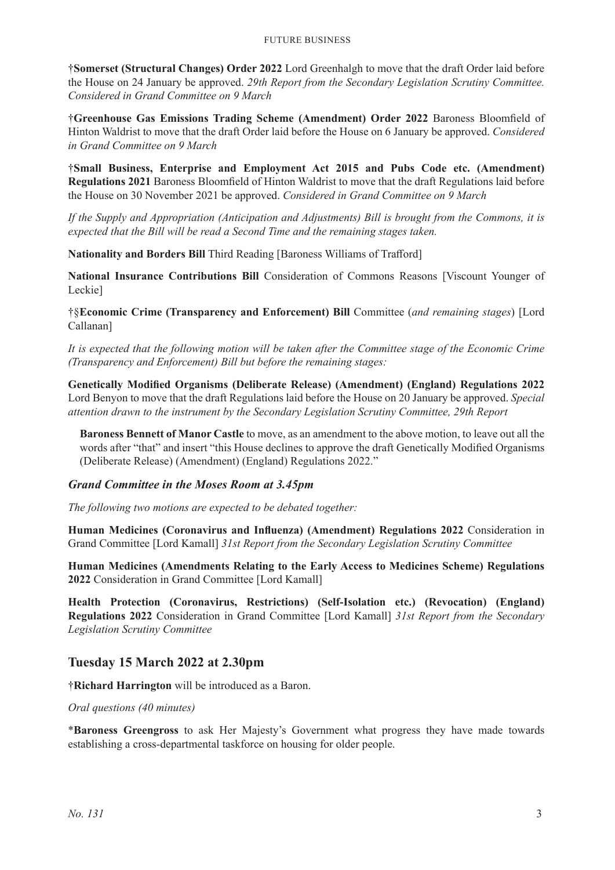†**Somerset (Structural Changes) Order 2022** Lord Greenhalgh to move that the draft Order laid before the House on 24 January be approved. *29th Report from the Secondary Legislation Scrutiny Committee. Considered in Grand Committee on 9 March*

†**Greenhouse Gas Emissions Trading Scheme (Amendment) Order 2022** Baroness Bloomfield of Hinton Waldrist to move that the draft Order laid before the House on 6 January be approved. *Considered in Grand Committee on 9 March*

†**Small Business, Enterprise and Employment Act 2015 and Pubs Code etc. (Amendment) Regulations 2021** Baroness Bloomfield of Hinton Waldrist to move that the draft Regulations laid before the House on 30 November 2021 be approved. *Considered in Grand Committee on 9 March*

*If the Supply and Appropriation (Anticipation and Adjustments) Bill is brought from the Commons, it is expected that the Bill will be read a Second Time and the remaining stages taken.*

**Nationality and Borders Bill** Third Reading [Baroness Williams of Trafford]

**National Insurance Contributions Bill** Consideration of Commons Reasons [Viscount Younger of Leckie]

†§**Economic Crime (Transparency and Enforcement) Bill** Committee (*and remaining stages*) [Lord Callanan]

*It is expected that the following motion will be taken after the Committee stage of the Economic Crime (Transparency and Enforcement) Bill but before the remaining stages:*

**Genetically Modified Organisms (Deliberate Release) (Amendment) (England) Regulations 2022** Lord Benyon to move that the draft Regulations laid before the House on 20 January be approved. *Special attention drawn to the instrument by the Secondary Legislation Scrutiny Committee, 29th Report*

**Baroness Bennett of Manor Castle** to move, as an amendment to the above motion, to leave out all the words after "that" and insert "this House declines to approve the draft Genetically Modified Organisms (Deliberate Release) (Amendment) (England) Regulations 2022."

#### *Grand Committee in the Moses Room at 3.45pm*

*The following two motions are expected to be debated together:*

**Human Medicines (Coronavirus and Influenza) (Amendment) Regulations 2022** Consideration in Grand Committee [Lord Kamall] *31st Report from the Secondary Legislation Scrutiny Committee*

**Human Medicines (Amendments Relating to the Early Access to Medicines Scheme) Regulations 2022** Consideration in Grand Committee [Lord Kamall]

**Health Protection (Coronavirus, Restrictions) (Self-Isolation etc.) (Revocation) (England) Regulations 2022** Consideration in Grand Committee [Lord Kamall] *31st Report from the Secondary Legislation Scrutiny Committee*

### **Tuesday 15 March 2022 at 2.30pm**

†**Richard Harrington** will be introduced as a Baron.

*Oral questions (40 minutes)*

\***Baroness Greengross** to ask Her Majesty's Government what progress they have made towards establishing a cross-departmental taskforce on housing for older people.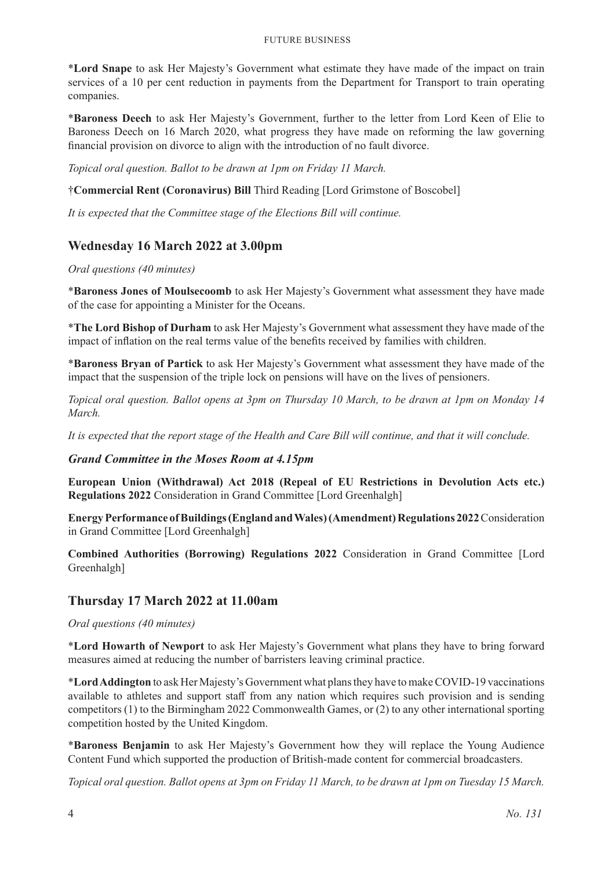#### Future Business

\***Lord Snape** to ask Her Majesty's Government what estimate they have made of the impact on train services of a 10 per cent reduction in payments from the Department for Transport to train operating companies.

\***Baroness Deech** to ask Her Majesty's Government, further to the letter from Lord Keen of Elie to Baroness Deech on 16 March 2020, what progress they have made on reforming the law governing financial provision on divorce to align with the introduction of no fault divorce.

*Topical oral question. Ballot to be drawn at 1pm on Friday 11 March.*

†**Commercial Rent (Coronavirus) Bill** Third Reading [Lord Grimstone of Boscobel]

*It is expected that the Committee stage of the Elections Bill will continue.*

### **Wednesday 16 March 2022 at 3.00pm**

#### *Oral questions (40 minutes)*

\***Baroness Jones of Moulsecoomb** to ask Her Majesty's Government what assessment they have made of the case for appointing a Minister for the Oceans.

\***The Lord Bishop of Durham** to ask Her Majesty's Government what assessment they have made of the impact of inflation on the real terms value of the benefits received by families with children.

\***Baroness Bryan of Partick** to ask Her Majesty's Government what assessment they have made of the impact that the suspension of the triple lock on pensions will have on the lives of pensioners.

*Topical oral question. Ballot opens at 3pm on Thursday 10 March, to be drawn at 1pm on Monday 14 March.*

*It is expected that the report stage of the Health and Care Bill will continue, and that it will conclude.*

#### *Grand Committee in the Moses Room at 4.15pm*

**European Union (Withdrawal) Act 2018 (Repeal of EU Restrictions in Devolution Acts etc.) Regulations 2022** Consideration in Grand Committee [Lord Greenhalgh]

**Energy Performance of Buildings (England and Wales) (Amendment) Regulations 2022** Consideration in Grand Committee [Lord Greenhalgh]

**Combined Authorities (Borrowing) Regulations 2022** Consideration in Grand Committee [Lord Greenhalgh]

### **Thursday 17 March 2022 at 11.00am**

*Oral questions (40 minutes)*

\***Lord Howarth of Newport** to ask Her Majesty's Government what plans they have to bring forward measures aimed at reducing the number of barristers leaving criminal practice.

\***Lord Addington** to ask Her Majesty's Government what plans they have to make COVID-19 vaccinations available to athletes and support staff from any nation which requires such provision and is sending competitors (1) to the Birmingham 2022 Commonwealth Games, or (2) to any other international sporting competition hosted by the United Kingdom.

\***Baroness Benjamin** to ask Her Majesty's Government how they will replace the Young Audience Content Fund which supported the production of British-made content for commercial broadcasters.

*Topical oral question. Ballot opens at 3pm on Friday 11 March, to be drawn at 1pm on Tuesday 15 March.*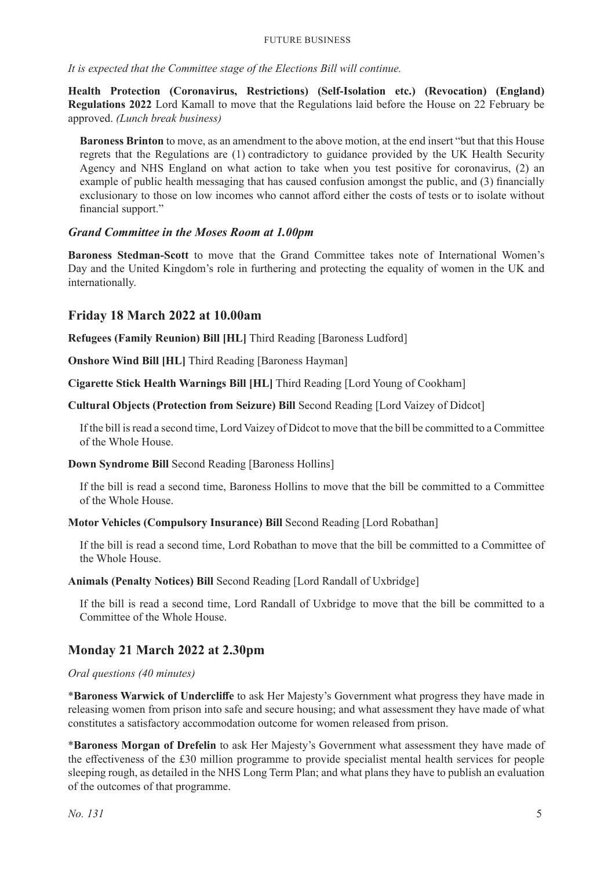#### Future Business

*It is expected that the Committee stage of the Elections Bill will continue.*

**Health Protection (Coronavirus, Restrictions) (Self-Isolation etc.) (Revocation) (England) Regulations 2022** Lord Kamall to move that the Regulations laid before the House on 22 February be approved. *(Lunch break business)*

**Baroness Brinton** to move, as an amendment to the above motion, at the end insert "but that this House regrets that the Regulations are (1) contradictory to guidance provided by the UK Health Security Agency and NHS England on what action to take when you test positive for coronavirus, (2) an example of public health messaging that has caused confusion amongst the public, and (3) financially exclusionary to those on low incomes who cannot afford either the costs of tests or to isolate without financial support."

#### *Grand Committee in the Moses Room at 1.00pm*

**Baroness Stedman-Scott** to move that the Grand Committee takes note of International Women's Day and the United Kingdom's role in furthering and protecting the equality of women in the UK and internationally.

#### **Friday 18 March 2022 at 10.00am**

**Refugees (Family Reunion) Bill [HL]** Third Reading [Baroness Ludford]

**Onshore Wind Bill [HL]** Third Reading [Baroness Hayman]

**Cigarette Stick Health Warnings Bill [HL]** Third Reading [Lord Young of Cookham]

**Cultural Objects (Protection from Seizure) Bill** Second Reading [Lord Vaizey of Didcot]

If the bill is read a second time, Lord Vaizey of Didcot to move that the bill be committed to a Committee of the Whole House.

#### **Down Syndrome Bill** Second Reading [Baroness Hollins]

If the bill is read a second time, Baroness Hollins to move that the bill be committed to a Committee of the Whole House.

**Motor Vehicles (Compulsory Insurance) Bill** Second Reading [Lord Robathan]

If the bill is read a second time, Lord Robathan to move that the bill be committed to a Committee of the Whole House.

**Animals (Penalty Notices) Bill** Second Reading [Lord Randall of Uxbridge]

If the bill is read a second time, Lord Randall of Uxbridge to move that the bill be committed to a Committee of the Whole House.

### **Monday 21 March 2022 at 2.30pm**

#### *Oral questions (40 minutes)*

\***Baroness Warwick of Undercliffe** to ask Her Majesty's Government what progress they have made in releasing women from prison into safe and secure housing; and what assessment they have made of what constitutes a satisfactory accommodation outcome for women released from prison.

\***Baroness Morgan of Drefelin** to ask Her Majesty's Government what assessment they have made of the effectiveness of the £30 million programme to provide specialist mental health services for people sleeping rough, as detailed in the NHS Long Term Plan; and what plans they have to publish an evaluation of the outcomes of that programme.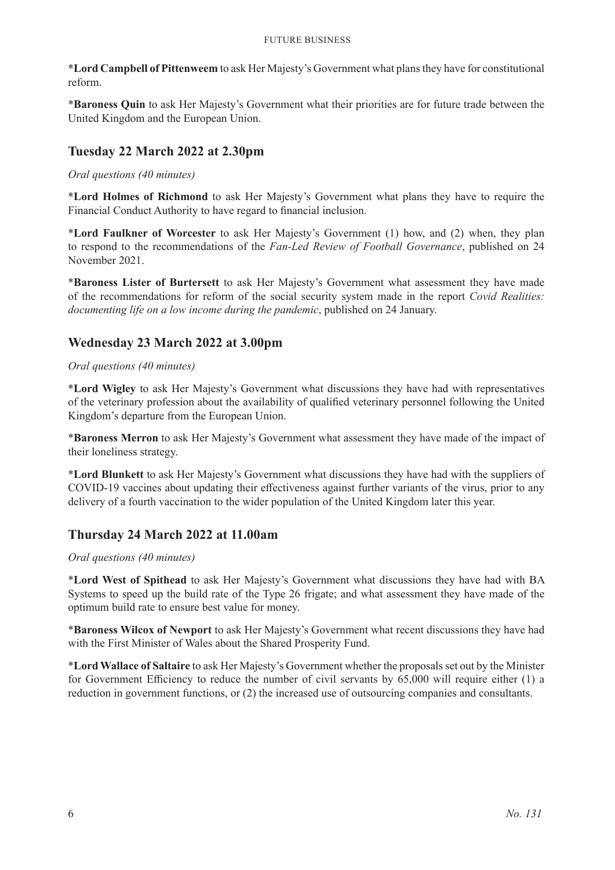\***Lord Campbell of Pittenweem** to ask Her Majesty's Government what plans they have for constitutional reform.

\***Baroness Quin** to ask Her Majesty's Government what their priorities are for future trade between the United Kingdom and the European Union.

### **Tuesday 22 March 2022 at 2.30pm**

*Oral questions (40 minutes)*

\***Lord Holmes of Richmond** to ask Her Majesty's Government what plans they have to require the Financial Conduct Authority to have regard to financial inclusion.

\***Lord Faulkner of Worcester** to ask Her Majesty's Government (1) how, and (2) when, they plan to respond to the recommendations of the *Fan-Led Review of Football Governance*, published on 24 November 2021.

\***Baroness Lister of Burtersett** to ask Her Majesty's Government what assessment they have made of the recommendations for reform of the social security system made in the report *Covid Realities: documenting life on a low income during the pandemic*, published on 24 January.

### **Wednesday 23 March 2022 at 3.00pm**

#### *Oral questions (40 minutes)*

\***Lord Wigley** to ask Her Majesty's Government what discussions they have had with representatives of the veterinary profession about the availability of qualified veterinary personnel following the United Kingdom's departure from the European Union.

\***Baroness Merron** to ask Her Majesty's Government what assessment they have made of the impact of their loneliness strategy.

\***Lord Blunkett** to ask Her Majesty's Government what discussions they have had with the suppliers of COVID-19 vaccines about updating their effectiveness against further variants of the virus, prior to any delivery of a fourth vaccination to the wider population of the United Kingdom later this year.

### **Thursday 24 March 2022 at 11.00am**

#### *Oral questions (40 minutes)*

\***Lord West of Spithead** to ask Her Majesty's Government what discussions they have had with BA Systems to speed up the build rate of the Type 26 frigate; and what assessment they have made of the optimum build rate to ensure best value for money.

\***Baroness Wilcox of Newport** to ask Her Majesty's Government what recent discussions they have had with the First Minister of Wales about the Shared Prosperity Fund.

\***Lord Wallace of Saltaire** to ask Her Majesty's Government whether the proposals set out by the Minister for Government Efficiency to reduce the number of civil servants by 65,000 will require either (1) a reduction in government functions, or (2) the increased use of outsourcing companies and consultants.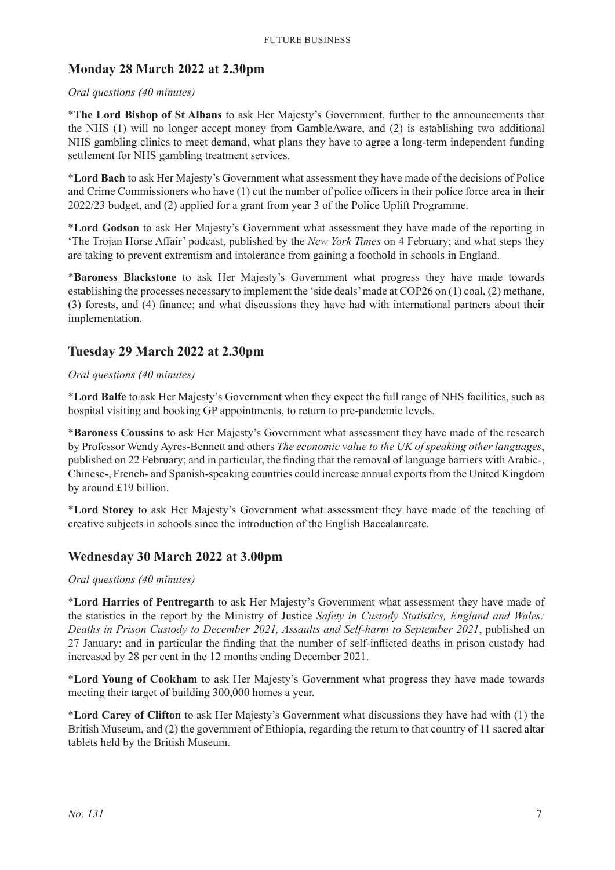### **Monday 28 March 2022 at 2.30pm**

#### *Oral questions (40 minutes)*

\***The Lord Bishop of St Albans** to ask Her Majesty's Government, further to the announcements that the NHS (1) will no longer accept money from GambleAware, and (2) is establishing two additional NHS gambling clinics to meet demand, what plans they have to agree a long-term independent funding settlement for NHS gambling treatment services.

\***Lord Bach** to ask Her Majesty's Government what assessment they have made of the decisions of Police and Crime Commissioners who have (1) cut the number of police officers in their police force area in their 2022/23 budget, and (2) applied for a grant from year 3 of the Police Uplift Programme.

\***Lord Godson** to ask Her Majesty's Government what assessment they have made of the reporting in 'The Trojan Horse Affair' podcast, published by the *New York Times* on 4 February; and what steps they are taking to prevent extremism and intolerance from gaining a foothold in schools in England.

\***Baroness Blackstone** to ask Her Majesty's Government what progress they have made towards establishing the processes necessary to implement the 'side deals' made at COP26 on (1) coal, (2) methane, (3) forests, and (4) finance; and what discussions they have had with international partners about their implementation.

#### **Tuesday 29 March 2022 at 2.30pm**

#### *Oral questions (40 minutes)*

\***Lord Balfe** to ask Her Majesty's Government when they expect the full range of NHS facilities, such as hospital visiting and booking GP appointments, to return to pre-pandemic levels.

\***Baroness Coussins** to ask Her Majesty's Government what assessment they have made of the research by Professor Wendy Ayres-Bennett and others *The economic value to the UK of speaking other languages*, published on 22 February; and in particular, the finding that the removal of language barriers with Arabic-, Chinese-, French- and Spanish-speaking countries could increase annual exports from the United Kingdom by around £19 billion.

\***Lord Storey** to ask Her Majesty's Government what assessment they have made of the teaching of creative subjects in schools since the introduction of the English Baccalaureate.

#### **Wednesday 30 March 2022 at 3.00pm**

#### *Oral questions (40 minutes)*

\***Lord Harries of Pentregarth** to ask Her Majesty's Government what assessment they have made of the statistics in the report by the Ministry of Justice *Safety in Custody Statistics, England and Wales: Deaths in Prison Custody to December 2021, Assaults and Self-harm to September 2021*, published on 27 January; and in particular the finding that the number of self-inflicted deaths in prison custody had increased by 28 per cent in the 12 months ending December 2021.

\***Lord Young of Cookham** to ask Her Majesty's Government what progress they have made towards meeting their target of building 300,000 homes a year.

\***Lord Carey of Clifton** to ask Her Majesty's Government what discussions they have had with (1) the British Museum, and (2) the government of Ethiopia, regarding the return to that country of 11 sacred altar tablets held by the British Museum.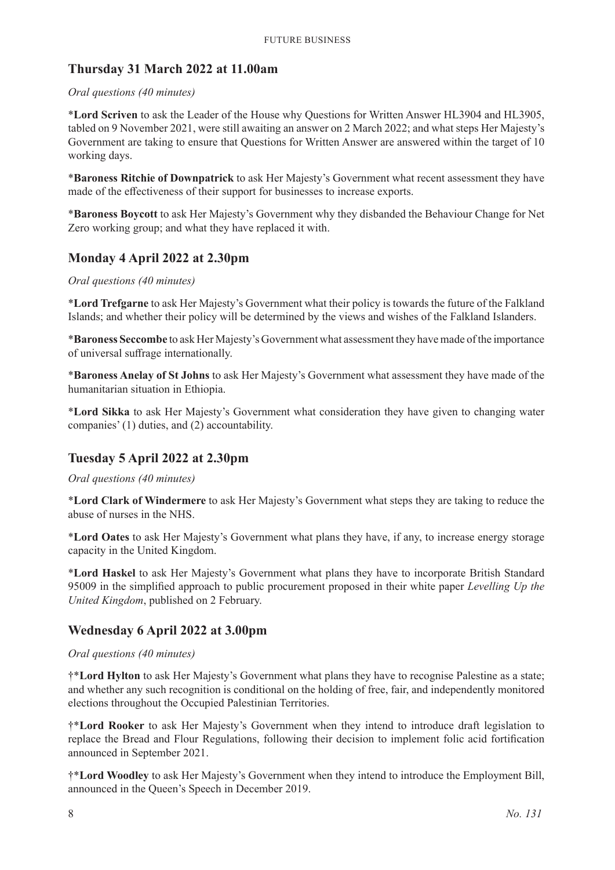### **Thursday 31 March 2022 at 11.00am**

#### *Oral questions (40 minutes)*

\***Lord Scriven** to ask the Leader of the House why Questions for Written Answer HL3904 and HL3905, tabled on 9 November 2021, were still awaiting an answer on 2 March 2022; and what steps Her Majesty's Government are taking to ensure that Questions for Written Answer are answered within the target of 10 working days.

\***Baroness Ritchie of Downpatrick** to ask Her Majesty's Government what recent assessment they have made of the effectiveness of their support for businesses to increase exports.

\***Baroness Boycott** to ask Her Majesty's Government why they disbanded the Behaviour Change for Net Zero working group; and what they have replaced it with.

### **Monday 4 April 2022 at 2.30pm**

#### *Oral questions (40 minutes)*

\***Lord Trefgarne** to ask Her Majesty's Government what their policy is towards the future of the Falkland Islands; and whether their policy will be determined by the views and wishes of the Falkland Islanders.

\***Baroness Seccombe** to ask Her Majesty's Government what assessment they have made of the importance of universal suffrage internationally.

\***Baroness Anelay of St Johns** to ask Her Majesty's Government what assessment they have made of the humanitarian situation in Ethiopia.

\***Lord Sikka** to ask Her Majesty's Government what consideration they have given to changing water companies' (1) duties, and (2) accountability.

### **Tuesday 5 April 2022 at 2.30pm**

*Oral questions (40 minutes)*

\***Lord Clark of Windermere** to ask Her Majesty's Government what steps they are taking to reduce the abuse of nurses in the NHS.

\***Lord Oates** to ask Her Majesty's Government what plans they have, if any, to increase energy storage capacity in the United Kingdom.

\***Lord Haskel** to ask Her Majesty's Government what plans they have to incorporate British Standard 95009 in the simplified approach to public procurement proposed in their white paper *Levelling Up the United Kingdom*, published on 2 February.

### **Wednesday 6 April 2022 at 3.00pm**

#### *Oral questions (40 minutes)*

†\***Lord Hylton** to ask Her Majesty's Government what plans they have to recognise Palestine as a state; and whether any such recognition is conditional on the holding of free, fair, and independently monitored elections throughout the Occupied Palestinian Territories.

†\***Lord Rooker** to ask Her Majesty's Government when they intend to introduce draft legislation to replace the Bread and Flour Regulations, following their decision to implement folic acid fortification announced in September 2021.

†\***Lord Woodley** to ask Her Majesty's Government when they intend to introduce the Employment Bill, announced in the Queen's Speech in December 2019.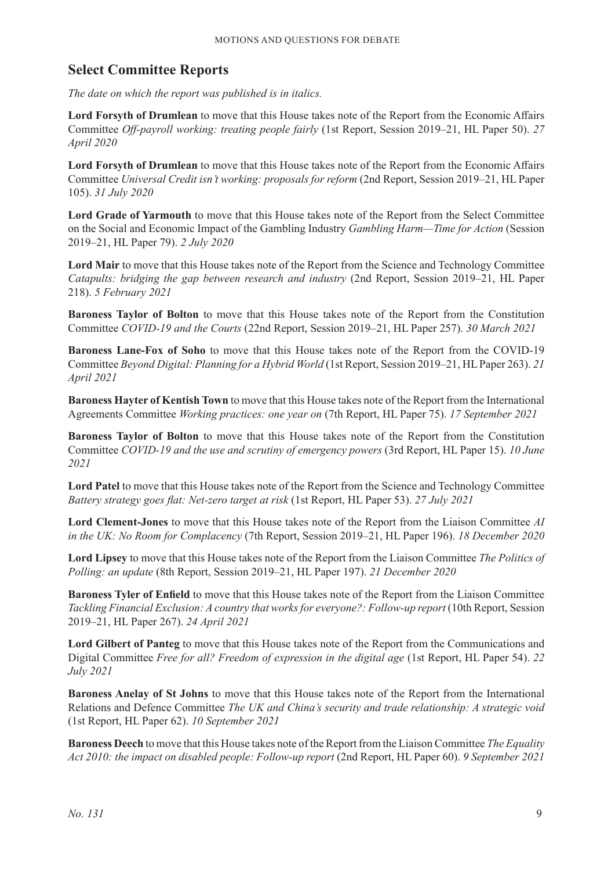### **Select Committee Reports**

*The date on which the report was published is in italics.*

**Lord Forsyth of Drumlean** to move that this House takes note of the Report from the Economic Affairs Committee *Off-payroll working: treating people fairly* (1st Report, Session 2019–21, HL Paper 50). *27 April 2020*

**Lord Forsyth of Drumlean** to move that this House takes note of the Report from the Economic Affairs Committee *Universal Credit isn't working: proposals for reform* (2nd Report, Session 2019–21, HL Paper 105). *31 July 2020*

**Lord Grade of Yarmouth** to move that this House takes note of the Report from the Select Committee on the Social and Economic Impact of the Gambling Industry *Gambling Harm—Time for Action* (Session 2019–21, HL Paper 79). *2 July 2020*

**Lord Mair** to move that this House takes note of the Report from the Science and Technology Committee *Catapults: bridging the gap between research and industry* (2nd Report, Session 2019–21, HL Paper 218). *5 February 2021*

**Baroness Taylor of Bolton** to move that this House takes note of the Report from the Constitution Committee *COVID-19 and the Courts* (22nd Report, Session 2019–21, HL Paper 257). *30 March 2021*

**Baroness Lane-Fox of Soho** to move that this House takes note of the Report from the COVID-19 Committee *Beyond Digital: Planning for a Hybrid World* (1st Report, Session 2019–21, HL Paper 263). *21 April 2021*

**Baroness Hayter of Kentish Town** to move that this House takes note of the Report from the International Agreements Committee *Working practices: one year on* (7th Report, HL Paper 75). *17 September 2021*

**Baroness Taylor of Bolton** to move that this House takes note of the Report from the Constitution Committee *COVID-19 and the use and scrutiny of emergency powers* (3rd Report, HL Paper 15). *10 June 2021*

**Lord Patel** to move that this House takes note of the Report from the Science and Technology Committee *Battery strategy goes flat: Net-zero target at risk* (1st Report, HL Paper 53). *27 July 2021*

**Lord Clement-Jones** to move that this House takes note of the Report from the Liaison Committee *AI in the UK: No Room for Complacency* (7th Report, Session 2019–21, HL Paper 196). *18 December 2020*

**Lord Lipsey** to move that this House takes note of the Report from the Liaison Committee *The Politics of Polling: an update* (8th Report, Session 2019–21, HL Paper 197). *21 December 2020*

**Baroness Tyler of Enfield** to move that this House takes note of the Report from the Liaison Committee *Tackling Financial Exclusion: A country that works for everyone?: Follow-up report* (10th Report, Session 2019–21, HL Paper 267). *24 April 2021*

**Lord Gilbert of Panteg** to move that this House takes note of the Report from the Communications and Digital Committee *Free for all? Freedom of expression in the digital age* (1st Report, HL Paper 54). *22 July 2021*

**Baroness Anelay of St Johns** to move that this House takes note of the Report from the International Relations and Defence Committee *The UK and China's security and trade relationship: A strategic void* (1st Report, HL Paper 62). *10 September 2021*

**Baroness Deech** to move that this House takes note of the Report from the Liaison Committee *The Equality Act 2010: the impact on disabled people: Follow-up report* (2nd Report, HL Paper 60). *9 September 2021*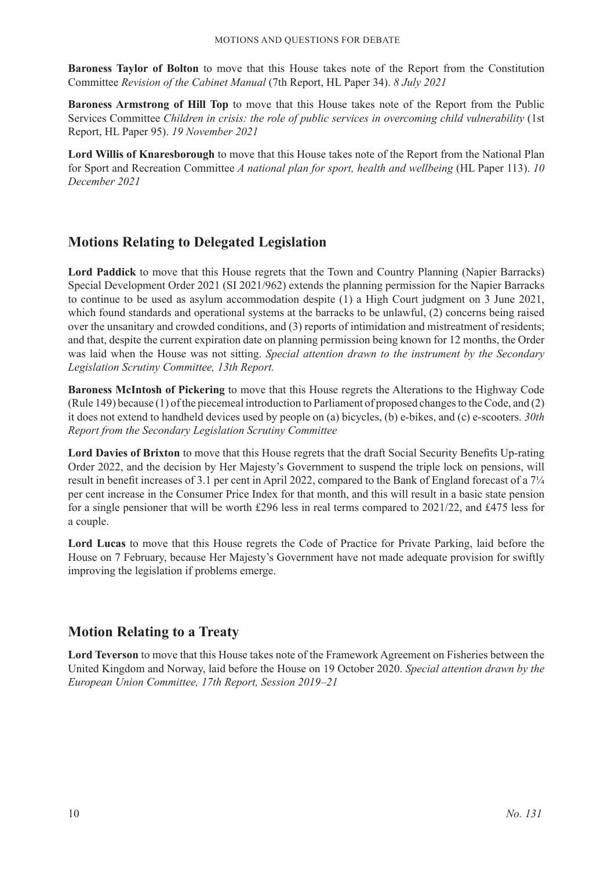**Baroness Taylor of Bolton** to move that this House takes note of the Report from the Constitution Committee *Revision of the Cabinet Manual* (7th Report, HL Paper 34). *8 July 2021*

**Baroness Armstrong of Hill Top** to move that this House takes note of the Report from the Public Services Committee *Children in crisis: the role of public services in overcoming child vulnerability* (1st Report, HL Paper 95). *19 November 2021*

**Lord Willis of Knaresborough** to move that this House takes note of the Report from the National Plan for Sport and Recreation Committee *A national plan for sport, health and wellbeing* (HL Paper 113). *10 December 2021*

### **Motions Relating to Delegated Legislation**

**Lord Paddick** to move that this House regrets that the Town and Country Planning (Napier Barracks) Special Development Order 2021 (SI 2021/962) extends the planning permission for the Napier Barracks to continue to be used as asylum accommodation despite (1) a High Court judgment on 3 June 2021, which found standards and operational systems at the barracks to be unlawful, (2) concerns being raised over the unsanitary and crowded conditions, and (3) reports of intimidation and mistreatment of residents; and that, despite the current expiration date on planning permission being known for 12 months, the Order was laid when the House was not sitting. *Special attention drawn to the instrument by the Secondary Legislation Scrutiny Committee, 13th Report.*

**Baroness McIntosh of Pickering** to move that this House regrets the Alterations to the Highway Code (Rule 149) because (1) of the piecemeal introduction to Parliament of proposed changes to the Code, and (2) it does not extend to handheld devices used by people on (a) bicycles, (b) e-bikes, and (c) e-scooters. *30th Report from the Secondary Legislation Scrutiny Committee*

**Lord Davies of Brixton** to move that this House regrets that the draft Social Security Benefits Up-rating Order 2022, and the decision by Her Majesty's Government to suspend the triple lock on pensions, will result in benefit increases of 3.1 per cent in April 2022, compared to the Bank of England forecast of a 7¼ per cent increase in the Consumer Price Index for that month, and this will result in a basic state pension for a single pensioner that will be worth £296 less in real terms compared to 2021/22, and £475 less for a couple.

**Lord Lucas** to move that this House regrets the Code of Practice for Private Parking, laid before the House on 7 February, because Her Majesty's Government have not made adequate provision for swiftly improving the legislation if problems emerge.

### **Motion Relating to a Treaty**

**Lord Teverson** to move that this House takes note of the Framework Agreement on Fisheries between the United Kingdom and Norway, laid before the House on 19 October 2020. *Special attention drawn by the European Union Committee, 17th Report, Session 2019–21*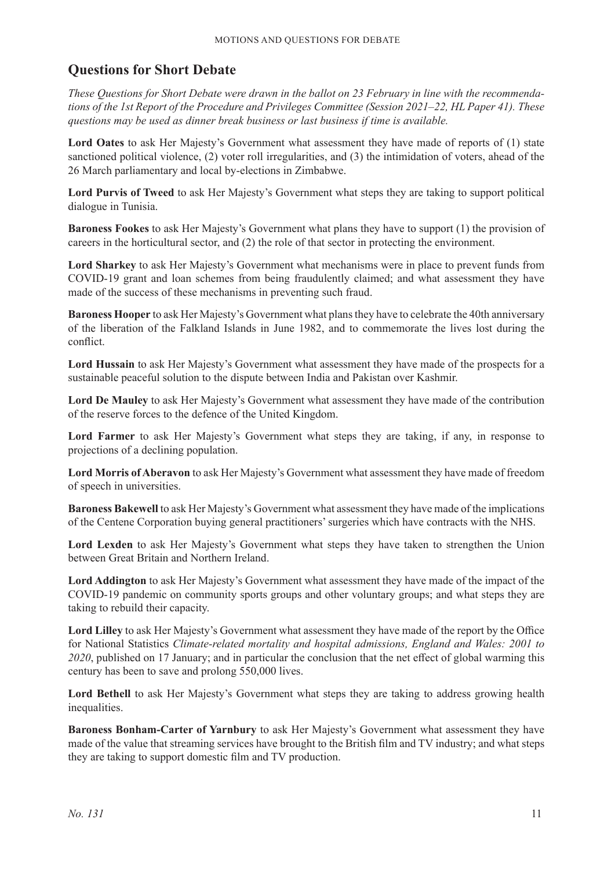### **Questions for Short Debate**

*These Questions for Short Debate were drawn in the ballot on 23 February in line with the recommendations of the 1st Report of the Procedure and Privileges Committee (Session 2021–22, HL Paper 41). These questions may be used as dinner break business or last business if time is available.*

**Lord Oates** to ask Her Majesty's Government what assessment they have made of reports of (1) state sanctioned political violence, (2) voter roll irregularities, and (3) the intimidation of voters, ahead of the 26 March parliamentary and local by-elections in Zimbabwe.

**Lord Purvis of Tweed** to ask Her Majesty's Government what steps they are taking to support political dialogue in Tunisia.

**Baroness Fookes** to ask Her Majesty's Government what plans they have to support (1) the provision of careers in the horticultural sector, and (2) the role of that sector in protecting the environment.

**Lord Sharkey** to ask Her Majesty's Government what mechanisms were in place to prevent funds from COVID-19 grant and loan schemes from being fraudulently claimed; and what assessment they have made of the success of these mechanisms in preventing such fraud.

**Baroness Hooper** to ask Her Majesty's Government what plans they have to celebrate the 40th anniversary of the liberation of the Falkland Islands in June 1982, and to commemorate the lives lost during the conflict.

**Lord Hussain** to ask Her Majesty's Government what assessment they have made of the prospects for a sustainable peaceful solution to the dispute between India and Pakistan over Kashmir.

**Lord De Mauley** to ask Her Majesty's Government what assessment they have made of the contribution of the reserve forces to the defence of the United Kingdom.

**Lord Farmer** to ask Her Majesty's Government what steps they are taking, if any, in response to projections of a declining population.

**Lord Morris of Aberavon** to ask Her Majesty's Government what assessment they have made of freedom of speech in universities.

**Baroness Bakewell** to ask Her Majesty's Government what assessment they have made of the implications of the Centene Corporation buying general practitioners' surgeries which have contracts with the NHS.

**Lord Lexden** to ask Her Majesty's Government what steps they have taken to strengthen the Union between Great Britain and Northern Ireland.

**Lord Addington** to ask Her Majesty's Government what assessment they have made of the impact of the COVID-19 pandemic on community sports groups and other voluntary groups; and what steps they are taking to rebuild their capacity.

**Lord Lilley** to ask Her Majesty's Government what assessment they have made of the report by the Office for National Statistics *Climate-related mortality and hospital admissions, England and Wales: 2001 to 2020*, published on 17 January; and in particular the conclusion that the net effect of global warming this century has been to save and prolong 550,000 lives.

Lord Bethell to ask Her Majesty's Government what steps they are taking to address growing health inequalities.

**Baroness Bonham-Carter of Yarnbury** to ask Her Majesty's Government what assessment they have made of the value that streaming services have brought to the British film and TV industry; and what steps they are taking to support domestic film and TV production.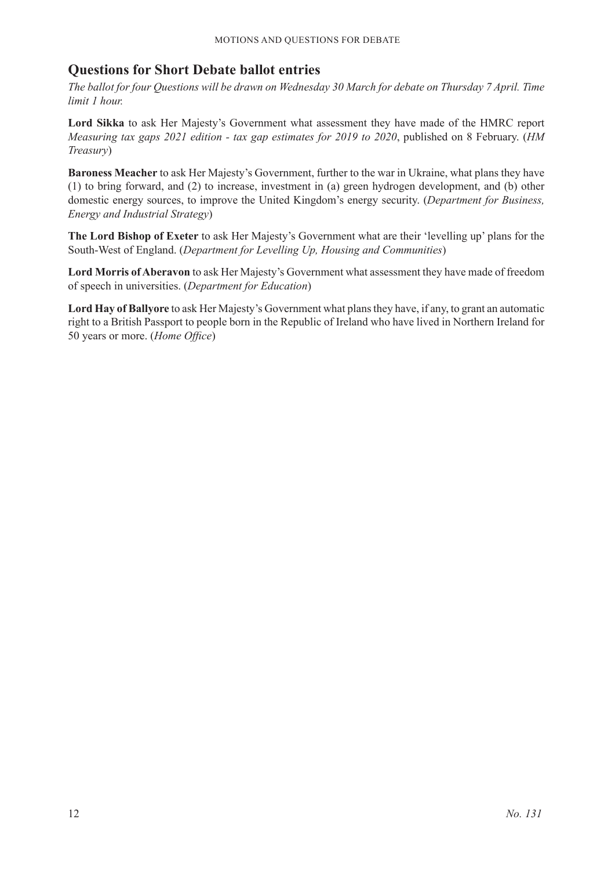### **Questions for Short Debate ballot entries**

*The ballot for four Questions will be drawn on Wednesday 30 March for debate on Thursday 7 April. Time limit 1 hour.*

**Lord Sikka** to ask Her Majesty's Government what assessment they have made of the HMRC report *Measuring tax gaps 2021 edition - tax gap estimates for 2019 to 2020*, published on 8 February. (*HM Treasury*)

**Baroness Meacher** to ask Her Majesty's Government, further to the war in Ukraine, what plans they have (1) to bring forward, and (2) to increase, investment in (a) green hydrogen development, and (b) other domestic energy sources, to improve the United Kingdom's energy security. (*Department for Business, Energy and Industrial Strategy*)

**The Lord Bishop of Exeter** to ask Her Majesty's Government what are their 'levelling up' plans for the South-West of England. (*Department for Levelling Up, Housing and Communities*)

**Lord Morris of Aberavon** to ask Her Majesty's Government what assessment they have made of freedom of speech in universities. (*Department for Education*)

**Lord Hay of Ballyore** to ask Her Majesty's Government what plans they have, if any, to grant an automatic right to a British Passport to people born in the Republic of Ireland who have lived in Northern Ireland for 50 years or more. (*Home Office*)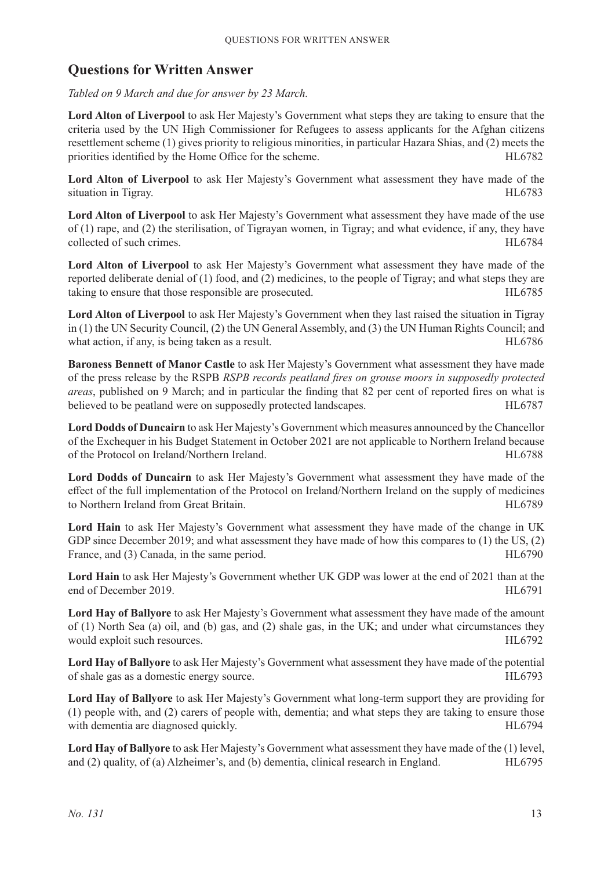### **Questions for Written Answer**

*Tabled on 9 March and due for answer by 23 March.*

**Lord Alton of Liverpool** to ask Her Majesty's Government what steps they are taking to ensure that the criteria used by the UN High Commissioner for Refugees to assess applicants for the Afghan citizens resettlement scheme (1) gives priority to religious minorities, in particular Hazara Shias, and (2) meets the priorities identified by the Home Office for the scheme. HL6782

Lord Alton of Liverpool to ask Her Majesty's Government what assessment they have made of the situation in Tigray. HL6783

**Lord Alton of Liverpool** to ask Her Majesty's Government what assessment they have made of the use of (1) rape, and (2) the sterilisation, of Tigrayan women, in Tigray; and what evidence, if any, they have collected of such crimes. HL6784

**Lord Alton of Liverpool** to ask Her Majesty's Government what assessment they have made of the reported deliberate denial of (1) food, and (2) medicines, to the people of Tigray; and what steps they are taking to ensure that those responsible are prosecuted. HL6785

**Lord Alton of Liverpool** to ask Her Majesty's Government when they last raised the situation in Tigray in (1) the UN Security Council, (2) the UN General Assembly, and (3) the UN Human Rights Council; and what action, if any, is being taken as a result. HL6786

**Baroness Bennett of Manor Castle** to ask Her Majesty's Government what assessment they have made of the press release by the RSPB *RSPB records peatland fires on grouse moors in supposedly protected areas*, published on 9 March; and in particular the finding that 82 per cent of reported fires on what is believed to be peatland were on supposedly protected landscapes. HEG787

**Lord Dodds of Duncairn** to ask Her Majesty's Government which measures announced by the Chancellor of the Exchequer in his Budget Statement in October 2021 are not applicable to Northern Ireland because of the Protocol on Ireland/Northern Ireland. HL6788

**Lord Dodds of Duncairn** to ask Her Majesty's Government what assessment they have made of the effect of the full implementation of the Protocol on Ireland/Northern Ireland on the supply of medicines to Northern Ireland from Great Britain. HL6789

**Lord Hain** to ask Her Majesty's Government what assessment they have made of the change in UK GDP since December 2019; and what assessment they have made of how this compares to (1) the US, (2) France, and (3) Canada, in the same period. HL6790

**Lord Hain** to ask Her Majesty's Government whether UK GDP was lower at the end of 2021 than at the end of December 2019. HL6791

**Lord Hay of Ballyore** to ask Her Majesty's Government what assessment they have made of the amount of (1) North Sea (a) oil, and (b) gas, and (2) shale gas, in the UK; and under what circumstances they would exploit such resources. HL6792

**Lord Hay of Ballyore** to ask Her Majesty's Government what assessment they have made of the potential of shale gas as a domestic energy source. HL6793

**Lord Hay of Ballyore** to ask Her Majesty's Government what long-term support they are providing for (1) people with, and (2) carers of people with, dementia; and what steps they are taking to ensure those with dementia are diagnosed quickly. The same state of the state of the HL6794

**Lord Hay of Ballyore** to ask Her Majesty's Government what assessment they have made of the (1) level, and (2) quality, of (a) Alzheimer's, and (b) dementia, clinical research in England. HL6795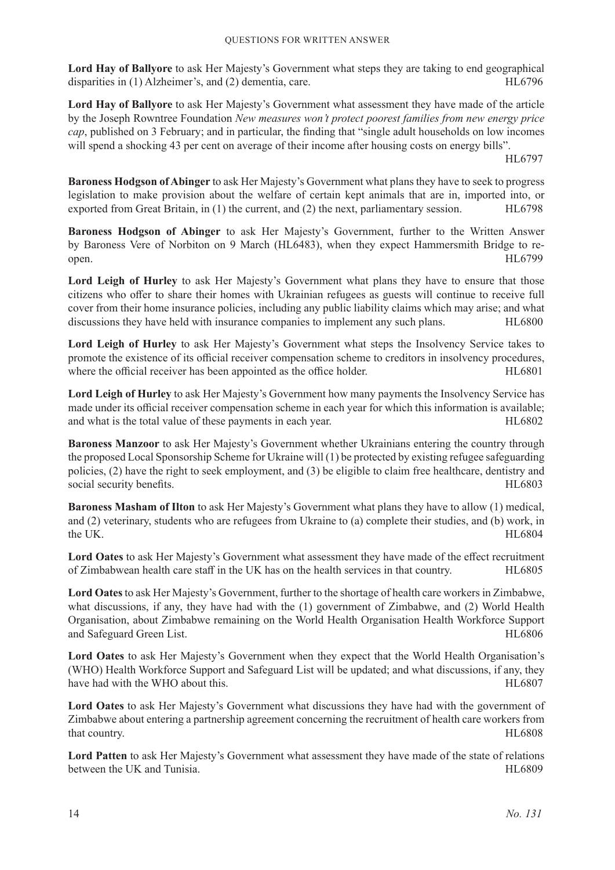**Lord Hay of Ballyore** to ask Her Majesty's Government what steps they are taking to end geographical disparities in (1) Alzheimer's, and (2) dementia, care. HL6796

**Lord Hay of Ballyore** to ask Her Majesty's Government what assessment they have made of the article by the Joseph Rowntree Foundation *New measures won't protect poorest families from new energy price cap*, published on 3 February; and in particular, the finding that "single adult households on low incomes will spend a shocking 43 per cent on average of their income after housing costs on energy bills".

HL6797

**Baroness Hodgson of Abinger** to ask Her Majesty's Government what plans they have to seek to progress legislation to make provision about the welfare of certain kept animals that are in, imported into, or exported from Great Britain, in (1) the current, and (2) the next, parliamentary session. HL6798

**Baroness Hodgson of Abinger** to ask Her Majesty's Government, further to the Written Answer by Baroness Vere of Norbiton on 9 March (HL6483), when they expect Hammersmith Bridge to reopen. HL6799

**Lord Leigh of Hurley** to ask Her Majesty's Government what plans they have to ensure that those citizens who offer to share their homes with Ukrainian refugees as guests will continue to receive full cover from their home insurance policies, including any public liability claims which may arise; and what discussions they have held with insurance companies to implement any such plans. HL6800

**Lord Leigh of Hurley** to ask Her Majesty's Government what steps the Insolvency Service takes to promote the existence of its official receiver compensation scheme to creditors in insolvency procedures, where the official receiver has been appointed as the office holder. HL6801

**Lord Leigh of Hurley** to ask Her Majesty's Government how many payments the Insolvency Service has made under its official receiver compensation scheme in each year for which this information is available; and what is the total value of these payments in each year. HL6802

**Baroness Manzoor** to ask Her Majesty's Government whether Ukrainians entering the country through the proposed Local Sponsorship Scheme for Ukraine will (1) be protected by existing refugee safeguarding policies, (2) have the right to seek employment, and (3) be eligible to claim free healthcare, dentistry and social security benefits. HL6803

**Baroness Masham of Ilton** to ask Her Majesty's Government what plans they have to allow (1) medical, and (2) veterinary, students who are refugees from Ukraine to (a) complete their studies, and (b) work, in the UK. HL6804

**Lord Oates** to ask Her Majesty's Government what assessment they have made of the effect recruitment of Zimbabwean health care staff in the UK has on the health services in that country. HL6805

**Lord Oates** to ask Her Majesty's Government, further to the shortage of health care workers in Zimbabwe, what discussions, if any, they have had with the (1) government of Zimbabwe, and (2) World Health Organisation, about Zimbabwe remaining on the World Health Organisation Health Workforce Support and Safeguard Green List. HL6806

**Lord Oates** to ask Her Majesty's Government when they expect that the World Health Organisation's (WHO) Health Workforce Support and Safeguard List will be updated; and what discussions, if any, they have had with the WHO about this. HL6807

**Lord Oates** to ask Her Majesty's Government what discussions they have had with the government of Zimbabwe about entering a partnership agreement concerning the recruitment of health care workers from that country. HL6808

**Lord Patten** to ask Her Majesty's Government what assessment they have made of the state of relations between the UK and Tunisia. The UK and Tunisia.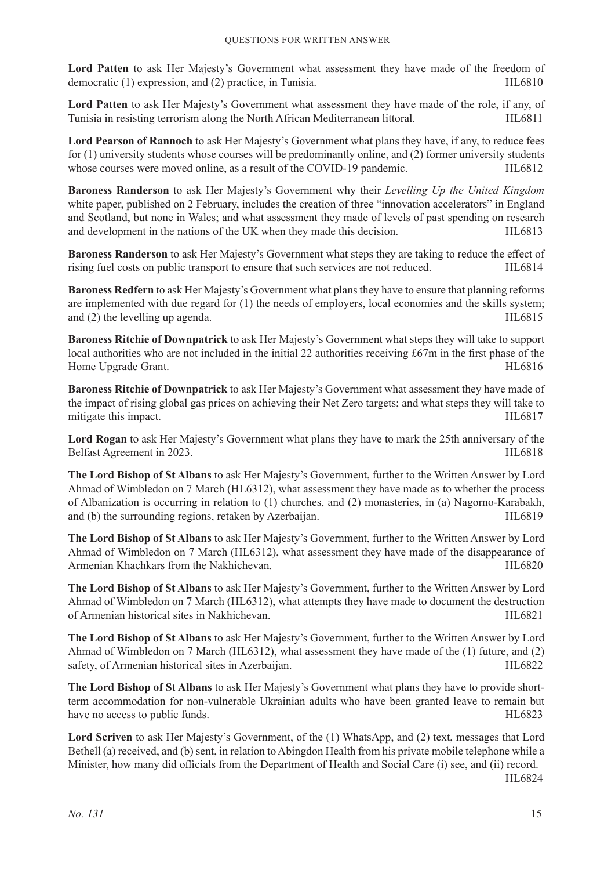**Lord Patten** to ask Her Majesty's Government what assessment they have made of the freedom of democratic (1) expression, and (2) practice, in Tunisia. HL6810

**Lord Patten** to ask Her Majesty's Government what assessment they have made of the role, if any, of Tunisia in resisting terrorism along the North African Mediterranean littoral. HL6811

**Lord Pearson of Rannoch** to ask Her Majesty's Government what plans they have, if any, to reduce fees for (1) university students whose courses will be predominantly online, and (2) former university students whose courses were moved online, as a result of the COVID-19 pandemic. HL6812

**Baroness Randerson** to ask Her Majesty's Government why their *Levelling Up the United Kingdom* white paper, published on 2 February, includes the creation of three "innovation accelerators" in England and Scotland, but none in Wales; and what assessment they made of levels of past spending on research and development in the nations of the UK when they made this decision. HL6813

**Baroness Randerson** to ask Her Majesty's Government what steps they are taking to reduce the effect of rising fuel costs on public transport to ensure that such services are not reduced. HL6814

**Baroness Redfern** to ask Her Majesty's Government what plans they have to ensure that planning reforms are implemented with due regard for (1) the needs of employers, local economies and the skills system; and (2) the levelling up agenda. HL6815

**Baroness Ritchie of Downpatrick** to ask Her Majesty's Government what steps they will take to support local authorities who are not included in the initial 22 authorities receiving £67m in the first phase of the Home Upgrade Grant. HL6816

**Baroness Ritchie of Downpatrick** to ask Her Majesty's Government what assessment they have made of the impact of rising global gas prices on achieving their Net Zero targets; and what steps they will take to mitigate this impact. HL6817

**Lord Rogan** to ask Her Majesty's Government what plans they have to mark the 25th anniversary of the Belfast Agreement in 2023. HL6818

**The Lord Bishop of St Albans** to ask Her Majesty's Government, further to the Written Answer by Lord Ahmad of Wimbledon on 7 March (HL6312), what assessment they have made as to whether the process of Albanization is occurring in relation to (1) churches, and (2) monasteries, in (a) Nagorno-Karabakh, and (b) the surrounding regions, retaken by Azerbaijan. HL6819

**The Lord Bishop of St Albans** to ask Her Majesty's Government, further to the Written Answer by Lord Ahmad of Wimbledon on 7 March (HL6312), what assessment they have made of the disappearance of Armenian Khachkars from the Nakhichevan. The Same of the Nakhichevan.

**The Lord Bishop of St Albans** to ask Her Majesty's Government, further to the Written Answer by Lord Ahmad of Wimbledon on 7 March (HL6312), what attempts they have made to document the destruction of Armenian historical sites in Nakhichevan. HL6821

**The Lord Bishop of St Albans** to ask Her Majesty's Government, further to the Written Answer by Lord Ahmad of Wimbledon on 7 March (HL6312), what assessment they have made of the (1) future, and (2) safety, of Armenian historical sites in Azerbaijan. HL6822

**The Lord Bishop of St Albans** to ask Her Majesty's Government what plans they have to provide shortterm accommodation for non-vulnerable Ukrainian adults who have been granted leave to remain but have no access to public funds. HL6823

**Lord Scriven** to ask Her Majesty's Government, of the (1) WhatsApp, and (2) text, messages that Lord Bethell (a) received, and (b) sent, in relation to Abingdon Health from his private mobile telephone while a Minister, how many did officials from the Department of Health and Social Care (i) see, and (ii) record.

HL6824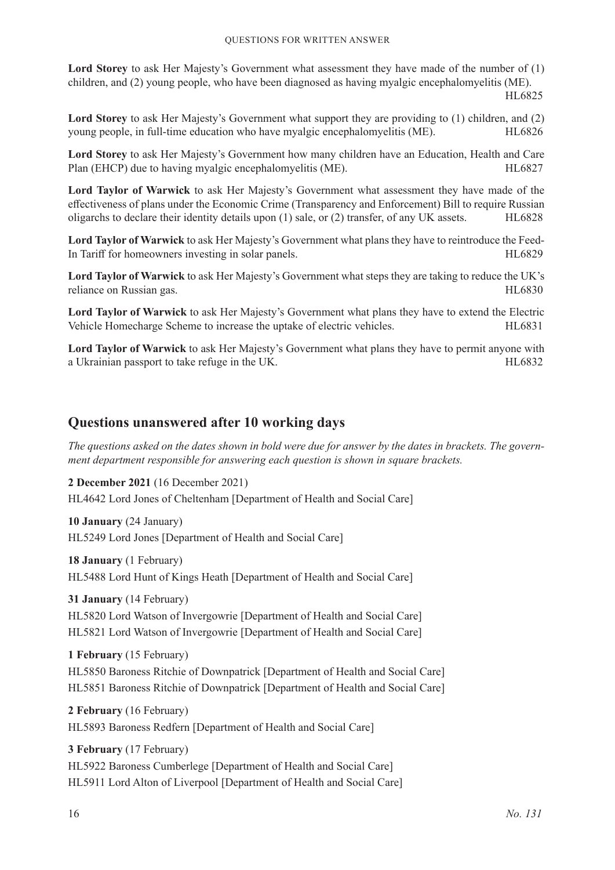**Lord Storey** to ask Her Majesty's Government what assessment they have made of the number of (1) children, and (2) young people, who have been diagnosed as having myalgic encephalomyelitis (ME).

HL6825

**Lord Storey** to ask Her Majesty's Government what support they are providing to (1) children, and (2) young people, in full-time education who have myalgic encephalomyelitis (ME). HL6826

**Lord Storey** to ask Her Majesty's Government how many children have an Education, Health and Care Plan (EHCP) due to having myalgic encephalomyelitis (ME). HL6827

**Lord Taylor of Warwick** to ask Her Majesty's Government what assessment they have made of the effectiveness of plans under the Economic Crime (Transparency and Enforcement) Bill to require Russian oligarchs to declare their identity details upon (1) sale, or (2) transfer, of any UK assets. HL6828

**Lord Taylor of Warwick** to ask Her Majesty's Government what plans they have to reintroduce the Feed-In Tariff for homeowners investing in solar panels. HL6829

**Lord Taylor of Warwick** to ask Her Majesty's Government what steps they are taking to reduce the UK's reliance on Russian gas. The state of the state of the state of the state of the state of the state of the state of the state of the state of the state of the state of the state of the state of the state of the state of th

**Lord Taylor of Warwick** to ask Her Majesty's Government what plans they have to extend the Electric Vehicle Homecharge Scheme to increase the uptake of electric vehicles. HL6831

**Lord Taylor of Warwick** to ask Her Majesty's Government what plans they have to permit anyone with a Ukrainian passport to take refuge in the UK. The same state of the UK and the UK.

### **Questions unanswered after 10 working days**

*The questions asked on the dates shown in bold were due for answer by the dates in brackets. The government department responsible for answering each question is shown in square brackets.*

**2 December 2021** (16 December 2021) HL4642 Lord Jones of Cheltenham [Department of Health and Social Care]

**10 January** (24 January) HL5249 Lord Jones [Department of Health and Social Care]

**18 January** (1 February) HL5488 Lord Hunt of Kings Heath [Department of Health and Social Care]

**31 January** (14 February) HL5820 Lord Watson of Invergowrie [Department of Health and Social Care] HL5821 Lord Watson of Invergowrie [Department of Health and Social Care]

**1 February** (15 February)

HL5850 Baroness Ritchie of Downpatrick [Department of Health and Social Care] HL5851 Baroness Ritchie of Downpatrick [Department of Health and Social Care]

**2 February** (16 February) HL5893 Baroness Redfern [Department of Health and Social Care]

**3 February** (17 February) HL5922 Baroness Cumberlege [Department of Health and Social Care] HL5911 Lord Alton of Liverpool [Department of Health and Social Care]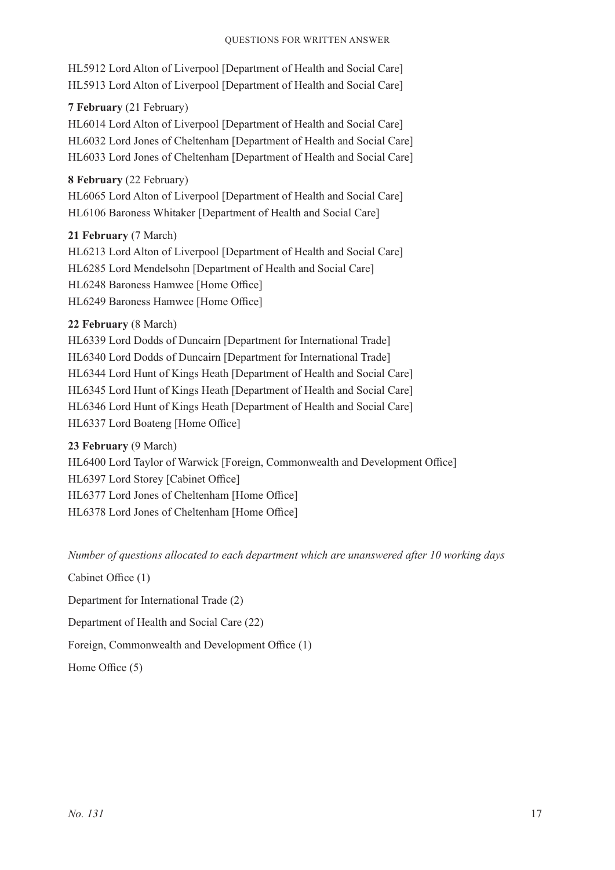HL5912 Lord Alton of Liverpool [Department of Health and Social Care] HL5913 Lord Alton of Liverpool [Department of Health and Social Care]

### **7 February** (21 February)

HL6014 Lord Alton of Liverpool [Department of Health and Social Care] HL6032 Lord Jones of Cheltenham [Department of Health and Social Care] HL6033 Lord Jones of Cheltenham [Department of Health and Social Care]

### **8 February** (22 February)

HL6065 Lord Alton of Liverpool [Department of Health and Social Care] HL6106 Baroness Whitaker [Department of Health and Social Care]

#### **21 February** (7 March)

HL6213 Lord Alton of Liverpool [Department of Health and Social Care] HL6285 Lord Mendelsohn [Department of Health and Social Care] HL6248 Baroness Hamwee [Home Office] HL6249 Baroness Hamwee [Home Office]

#### **22 February** (8 March)

HL6339 Lord Dodds of Duncairn [Department for International Trade] HL6340 Lord Dodds of Duncairn [Department for International Trade] HL6344 Lord Hunt of Kings Heath [Department of Health and Social Care] HL6345 Lord Hunt of Kings Heath [Department of Health and Social Care] HL6346 Lord Hunt of Kings Heath [Department of Health and Social Care] HL6337 Lord Boateng [Home Office]

#### **23 February** (9 March)

HL6400 Lord Taylor of Warwick [Foreign, Commonwealth and Development Office] HL6397 Lord Storey [Cabinet Office] HL6377 Lord Jones of Cheltenham [Home Office] HL6378 Lord Jones of Cheltenham [Home Office]

*Number of questions allocated to each department which are unanswered after 10 working days*

Cabinet Office (1)

Department for International Trade (2)

Department of Health and Social Care (22)

Foreign, Commonwealth and Development Office (1)

Home Office (5)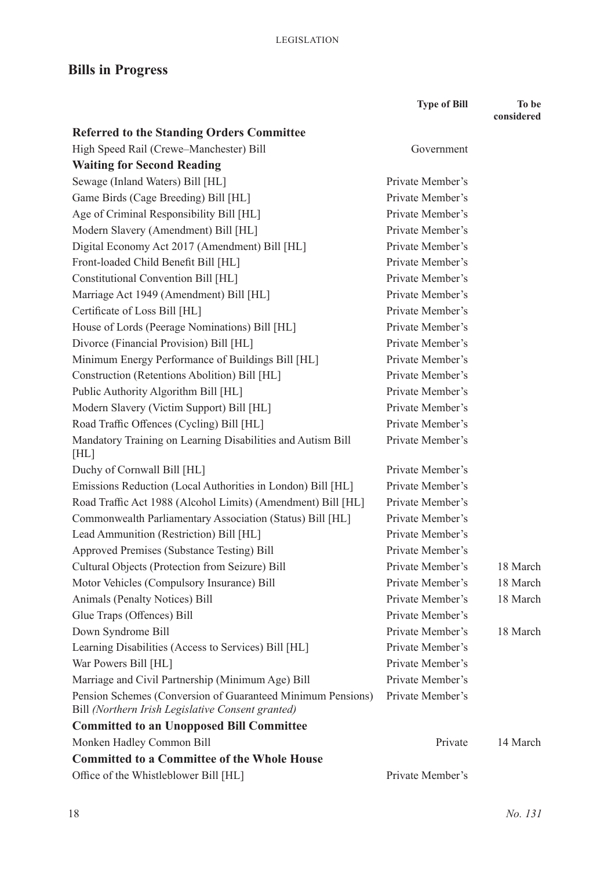## **Bills in Progress**

|                                                                                                                  | <b>Type of Bill</b> | To be      |
|------------------------------------------------------------------------------------------------------------------|---------------------|------------|
|                                                                                                                  |                     | considered |
| <b>Referred to the Standing Orders Committee</b>                                                                 |                     |            |
| High Speed Rail (Crewe-Manchester) Bill                                                                          | Government          |            |
| <b>Waiting for Second Reading</b>                                                                                |                     |            |
| Sewage (Inland Waters) Bill [HL]                                                                                 | Private Member's    |            |
| Game Birds (Cage Breeding) Bill [HL]                                                                             | Private Member's    |            |
| Age of Criminal Responsibility Bill [HL]                                                                         | Private Member's    |            |
| Modern Slavery (Amendment) Bill [HL]                                                                             | Private Member's    |            |
| Digital Economy Act 2017 (Amendment) Bill [HL]                                                                   | Private Member's    |            |
| Front-loaded Child Benefit Bill [HL]                                                                             | Private Member's    |            |
| Constitutional Convention Bill [HL]                                                                              | Private Member's    |            |
| Marriage Act 1949 (Amendment) Bill [HL]                                                                          | Private Member's    |            |
| Certificate of Loss Bill [HL]                                                                                    | Private Member's    |            |
| House of Lords (Peerage Nominations) Bill [HL]                                                                   | Private Member's    |            |
| Divorce (Financial Provision) Bill [HL]                                                                          | Private Member's    |            |
| Minimum Energy Performance of Buildings Bill [HL]                                                                | Private Member's    |            |
| Construction (Retentions Abolition) Bill [HL]                                                                    | Private Member's    |            |
| Public Authority Algorithm Bill [HL]                                                                             | Private Member's    |            |
| Modern Slavery (Victim Support) Bill [HL]                                                                        | Private Member's    |            |
| Road Traffic Offences (Cycling) Bill [HL]                                                                        | Private Member's    |            |
| Mandatory Training on Learning Disabilities and Autism Bill<br>[HL]                                              | Private Member's    |            |
| Duchy of Cornwall Bill [HL]                                                                                      | Private Member's    |            |
| Emissions Reduction (Local Authorities in London) Bill [HL]                                                      | Private Member's    |            |
| Road Traffic Act 1988 (Alcohol Limits) (Amendment) Bill [HL]                                                     | Private Member's    |            |
| Commonwealth Parliamentary Association (Status) Bill [HL]                                                        | Private Member's    |            |
| Lead Ammunition (Restriction) Bill [HL]                                                                          | Private Member's    |            |
| Approved Premises (Substance Testing) Bill                                                                       | Private Member's    |            |
| Cultural Objects (Protection from Seizure) Bill                                                                  | Private Member's    | 18 March   |
| Motor Vehicles (Compulsory Insurance) Bill                                                                       | Private Member's    | 18 March   |
| <b>Animals (Penalty Notices) Bill</b>                                                                            | Private Member's    | 18 March   |
| Glue Traps (Offences) Bill                                                                                       | Private Member's    |            |
| Down Syndrome Bill                                                                                               | Private Member's    | 18 March   |
| Learning Disabilities (Access to Services) Bill [HL]                                                             | Private Member's    |            |
| War Powers Bill [HL]                                                                                             | Private Member's    |            |
| Marriage and Civil Partnership (Minimum Age) Bill                                                                | Private Member's    |            |
| Pension Schemes (Conversion of Guaranteed Minimum Pensions)<br>Bill (Northern Irish Legislative Consent granted) | Private Member's    |            |
| <b>Committed to an Unopposed Bill Committee</b>                                                                  |                     |            |
| Monken Hadley Common Bill                                                                                        | Private             | 14 March   |
| <b>Committed to a Committee of the Whole House</b>                                                               |                     |            |
| Office of the Whistleblower Bill [HL]                                                                            | Private Member's    |            |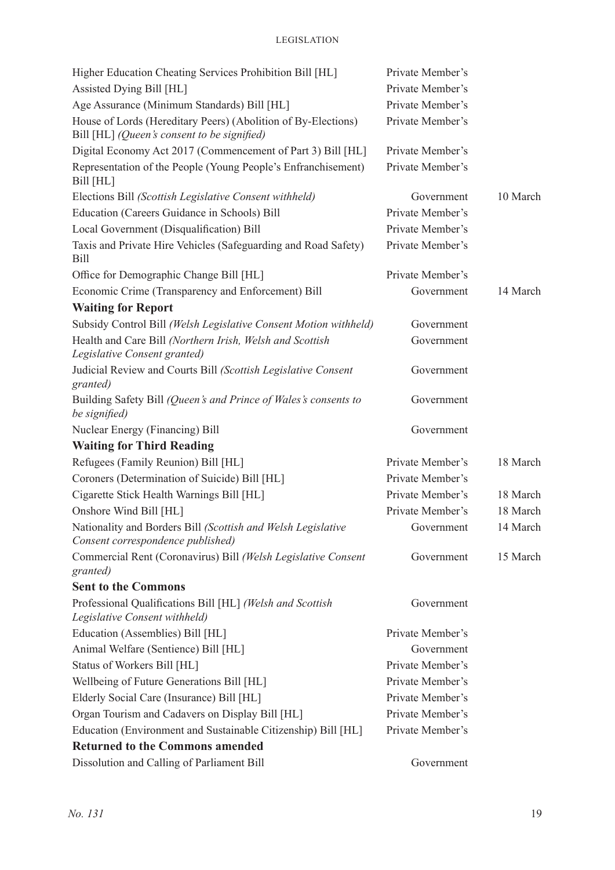| Higher Education Cheating Services Prohibition Bill [HL]                                          | Private Member's |          |
|---------------------------------------------------------------------------------------------------|------------------|----------|
| Assisted Dying Bill [HL]                                                                          | Private Member's |          |
| Age Assurance (Minimum Standards) Bill [HL]                                                       | Private Member's |          |
| House of Lords (Hereditary Peers) (Abolition of By-Elections)                                     | Private Member's |          |
| Bill [HL] (Queen's consent to be signified)                                                       |                  |          |
| Digital Economy Act 2017 (Commencement of Part 3) Bill [HL]                                       | Private Member's |          |
| Representation of the People (Young People's Enfranchisement)<br>Bill [HL]                        | Private Member's |          |
| Elections Bill (Scottish Legislative Consent withheld)                                            | Government       | 10 March |
| Education (Careers Guidance in Schools) Bill                                                      | Private Member's |          |
| Local Government (Disqualification) Bill                                                          | Private Member's |          |
| Taxis and Private Hire Vehicles (Safeguarding and Road Safety)<br><b>Bill</b>                     | Private Member's |          |
| Office for Demographic Change Bill [HL]                                                           | Private Member's |          |
| Economic Crime (Transparency and Enforcement) Bill                                                | Government       | 14 March |
| <b>Waiting for Report</b>                                                                         |                  |          |
| Subsidy Control Bill (Welsh Legislative Consent Motion withheld)                                  | Government       |          |
| Health and Care Bill (Northern Irish, Welsh and Scottish<br>Legislative Consent granted)          | Government       |          |
| Judicial Review and Courts Bill (Scottish Legislative Consent<br>granted)                         | Government       |          |
| Building Safety Bill (Queen's and Prince of Wales's consents to<br>be signified)                  | Government       |          |
| Nuclear Energy (Financing) Bill                                                                   | Government       |          |
| <b>Waiting for Third Reading</b>                                                                  |                  |          |
| Refugees (Family Reunion) Bill [HL]                                                               | Private Member's | 18 March |
| Coroners (Determination of Suicide) Bill [HL]                                                     | Private Member's |          |
| Cigarette Stick Health Warnings Bill [HL]                                                         | Private Member's | 18 March |
| Onshore Wind Bill [HL]                                                                            | Private Member's | 18 March |
| Nationality and Borders Bill (Scottish and Welsh Legislative<br>Consent correspondence published) | Government       | 14 March |
| Commercial Rent (Coronavirus) Bill (Welsh Legislative Consent<br>granted)                         | Government       | 15 March |
| <b>Sent to the Commons</b>                                                                        |                  |          |
| Professional Qualifications Bill [HL] (Welsh and Scottish                                         | Government       |          |
| Legislative Consent withheld)                                                                     |                  |          |
| Education (Assemblies) Bill [HL]                                                                  | Private Member's |          |
| Animal Welfare (Sentience) Bill [HL]                                                              | Government       |          |
| Status of Workers Bill [HL]                                                                       | Private Member's |          |
| Wellbeing of Future Generations Bill [HL]                                                         | Private Member's |          |
| Elderly Social Care (Insurance) Bill [HL]                                                         | Private Member's |          |
| Organ Tourism and Cadavers on Display Bill [HL]                                                   | Private Member's |          |
| Education (Environment and Sustainable Citizenship) Bill [HL]                                     | Private Member's |          |
| <b>Returned to the Commons amended</b>                                                            |                  |          |
| Dissolution and Calling of Parliament Bill                                                        | Government       |          |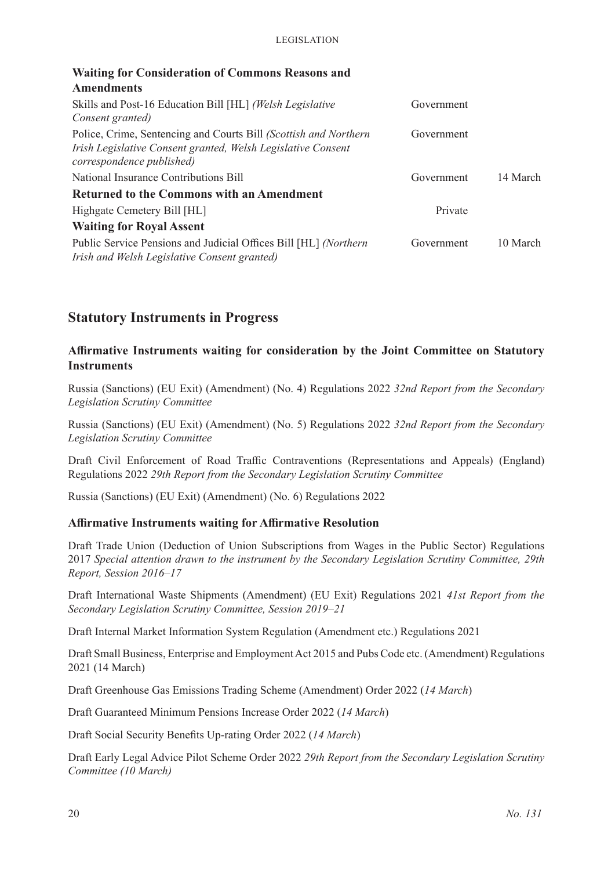| <b>Waiting for Consideration of Commons Reasons and</b>                                                                                                       |            |          |
|---------------------------------------------------------------------------------------------------------------------------------------------------------------|------------|----------|
| <b>Amendments</b>                                                                                                                                             |            |          |
| Skills and Post-16 Education Bill [HL] (Welsh Legislative<br>Consent granted)                                                                                 | Government |          |
| Police, Crime, Sentencing and Courts Bill (Scottish and Northern<br>Irish Legislative Consent granted, Welsh Legislative Consent<br>correspondence published) | Government |          |
| National Insurance Contributions Bill                                                                                                                         | Government | 14 March |
| <b>Returned to the Commons with an Amendment</b>                                                                                                              |            |          |
| Highgate Cemetery Bill [HL]                                                                                                                                   | Private    |          |
| <b>Waiting for Royal Assent</b>                                                                                                                               |            |          |
| Public Service Pensions and Judicial Offices Bill [HL] (Northern<br>Irish and Welsh Legislative Consent granted)                                              | Government | 10 March |

### **Statutory Instruments in Progress**

#### **Affirmative Instruments waiting for consideration by the Joint Committee on Statutory Instruments**

Russia (Sanctions) (EU Exit) (Amendment) (No. 4) Regulations 2022 *32nd Report from the Secondary Legislation Scrutiny Committee*

Russia (Sanctions) (EU Exit) (Amendment) (No. 5) Regulations 2022 *32nd Report from the Secondary Legislation Scrutiny Committee*

Draft Civil Enforcement of Road Traffic Contraventions (Representations and Appeals) (England) Regulations 2022 *29th Report from the Secondary Legislation Scrutiny Committee*

Russia (Sanctions) (EU Exit) (Amendment) (No. 6) Regulations 2022

#### **Affirmative Instruments waiting for Affirmative Resolution**

Draft Trade Union (Deduction of Union Subscriptions from Wages in the Public Sector) Regulations 2017 *Special attention drawn to the instrument by the Secondary Legislation Scrutiny Committee, 29th Report, Session 2016–17*

Draft International Waste Shipments (Amendment) (EU Exit) Regulations 2021 *41st Report from the Secondary Legislation Scrutiny Committee, Session 2019–21*

Draft Internal Market Information System Regulation (Amendment etc.) Regulations 2021

Draft Small Business, Enterprise and Employment Act 2015 and Pubs Code etc. (Amendment) Regulations 2021 (14 March)

Draft Greenhouse Gas Emissions Trading Scheme (Amendment) Order 2022 (*14 March*)

Draft Guaranteed Minimum Pensions Increase Order 2022 (*14 March*)

Draft Social Security Benefits Up-rating Order 2022 (*14 March*)

Draft Early Legal Advice Pilot Scheme Order 2022 *29th Report from the Secondary Legislation Scrutiny Committee (10 March)*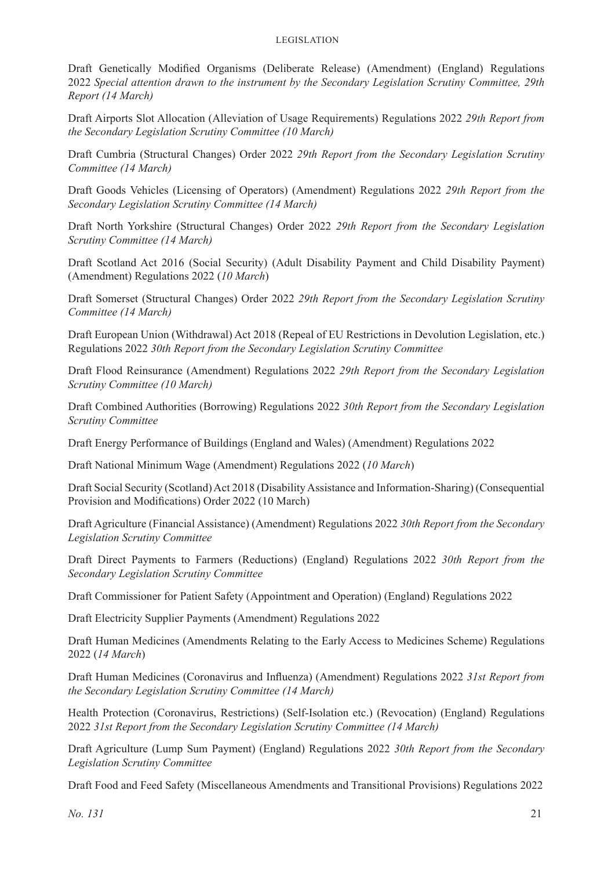Draft Genetically Modified Organisms (Deliberate Release) (Amendment) (England) Regulations 2022 *Special attention drawn to the instrument by the Secondary Legislation Scrutiny Committee, 29th Report (14 March)*

Draft Airports Slot Allocation (Alleviation of Usage Requirements) Regulations 2022 *29th Report from the Secondary Legislation Scrutiny Committee (10 March)*

Draft Cumbria (Structural Changes) Order 2022 *29th Report from the Secondary Legislation Scrutiny Committee (14 March)*

Draft Goods Vehicles (Licensing of Operators) (Amendment) Regulations 2022 *29th Report from the Secondary Legislation Scrutiny Committee (14 March)*

Draft North Yorkshire (Structural Changes) Order 2022 *29th Report from the Secondary Legislation Scrutiny Committee (14 March)*

Draft Scotland Act 2016 (Social Security) (Adult Disability Payment and Child Disability Payment) (Amendment) Regulations 2022 (*10 March*)

Draft Somerset (Structural Changes) Order 2022 *29th Report from the Secondary Legislation Scrutiny Committee (14 March)*

Draft European Union (Withdrawal) Act 2018 (Repeal of EU Restrictions in Devolution Legislation, etc.) Regulations 2022 *30th Report from the Secondary Legislation Scrutiny Committee*

Draft Flood Reinsurance (Amendment) Regulations 2022 *29th Report from the Secondary Legislation Scrutiny Committee (10 March)*

Draft Combined Authorities (Borrowing) Regulations 2022 *30th Report from the Secondary Legislation Scrutiny Committee*

Draft Energy Performance of Buildings (England and Wales) (Amendment) Regulations 2022

Draft National Minimum Wage (Amendment) Regulations 2022 (*10 March*)

Draft Social Security (Scotland) Act 2018 (Disability Assistance and Information-Sharing) (Consequential Provision and Modifications) Order 2022 (10 March)

Draft Agriculture (Financial Assistance) (Amendment) Regulations 2022 *30th Report from the Secondary Legislation Scrutiny Committee*

Draft Direct Payments to Farmers (Reductions) (England) Regulations 2022 *30th Report from the Secondary Legislation Scrutiny Committee*

Draft Commissioner for Patient Safety (Appointment and Operation) (England) Regulations 2022

Draft Electricity Supplier Payments (Amendment) Regulations 2022

Draft Human Medicines (Amendments Relating to the Early Access to Medicines Scheme) Regulations 2022 (*14 March*)

Draft Human Medicines (Coronavirus and Influenza) (Amendment) Regulations 2022 *31st Report from the Secondary Legislation Scrutiny Committee (14 March)*

Health Protection (Coronavirus, Restrictions) (Self-Isolation etc.) (Revocation) (England) Regulations 2022 *31st Report from the Secondary Legislation Scrutiny Committee (14 March)*

Draft Agriculture (Lump Sum Payment) (England) Regulations 2022 *30th Report from the Secondary Legislation Scrutiny Committee*

Draft Food and Feed Safety (Miscellaneous Amendments and Transitional Provisions) Regulations 2022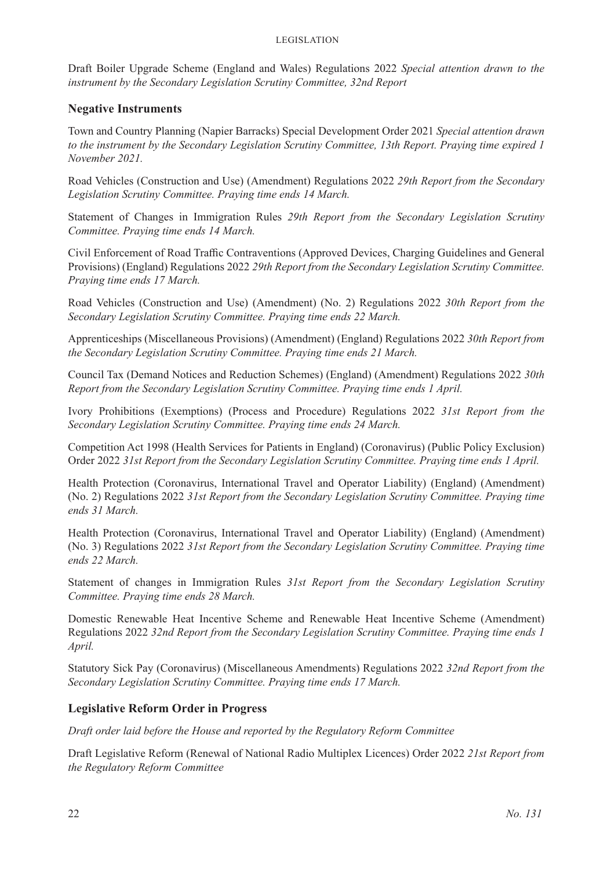Draft Boiler Upgrade Scheme (England and Wales) Regulations 2022 *Special attention drawn to the instrument by the Secondary Legislation Scrutiny Committee, 32nd Report*

#### **Negative Instruments**

Town and Country Planning (Napier Barracks) Special Development Order 2021 *Special attention drawn to the instrument by the Secondary Legislation Scrutiny Committee, 13th Report. Praying time expired 1 November 2021.*

Road Vehicles (Construction and Use) (Amendment) Regulations 2022 *29th Report from the Secondary Legislation Scrutiny Committee. Praying time ends 14 March.*

Statement of Changes in Immigration Rules *29th Report from the Secondary Legislation Scrutiny Committee. Praying time ends 14 March.*

Civil Enforcement of Road Traffic Contraventions (Approved Devices, Charging Guidelines and General Provisions) (England) Regulations 2022 *29th Report from the Secondary Legislation Scrutiny Committee. Praying time ends 17 March.*

Road Vehicles (Construction and Use) (Amendment) (No. 2) Regulations 2022 *30th Report from the Secondary Legislation Scrutiny Committee. Praying time ends 22 March.*

Apprenticeships (Miscellaneous Provisions) (Amendment) (England) Regulations 2022 *30th Report from the Secondary Legislation Scrutiny Committee. Praying time ends 21 March.*

Council Tax (Demand Notices and Reduction Schemes) (England) (Amendment) Regulations 2022 *30th Report from the Secondary Legislation Scrutiny Committee. Praying time ends 1 April.*

Ivory Prohibitions (Exemptions) (Process and Procedure) Regulations 2022 *31st Report from the Secondary Legislation Scrutiny Committee. Praying time ends 24 March.*

Competition Act 1998 (Health Services for Patients in England) (Coronavirus) (Public Policy Exclusion) Order 2022 *31st Report from the Secondary Legislation Scrutiny Committee. Praying time ends 1 April.*

Health Protection (Coronavirus, International Travel and Operator Liability) (England) (Amendment) (No. 2) Regulations 2022 *31st Report from the Secondary Legislation Scrutiny Committee. Praying time ends 31 March.*

Health Protection (Coronavirus, International Travel and Operator Liability) (England) (Amendment) (No. 3) Regulations 2022 *31st Report from the Secondary Legislation Scrutiny Committee. Praying time ends 22 March.*

Statement of changes in Immigration Rules *31st Report from the Secondary Legislation Scrutiny Committee. Praying time ends 28 March.*

Domestic Renewable Heat Incentive Scheme and Renewable Heat Incentive Scheme (Amendment) Regulations 2022 *32nd Report from the Secondary Legislation Scrutiny Committee. Praying time ends 1 April.*

Statutory Sick Pay (Coronavirus) (Miscellaneous Amendments) Regulations 2022 *32nd Report from the Secondary Legislation Scrutiny Committee. Praying time ends 17 March.*

#### **Legislative Reform Order in Progress**

*Draft order laid before the House and reported by the Regulatory Reform Committee*

Draft Legislative Reform (Renewal of National Radio Multiplex Licences) Order 2022 *21st Report from the Regulatory Reform Committee*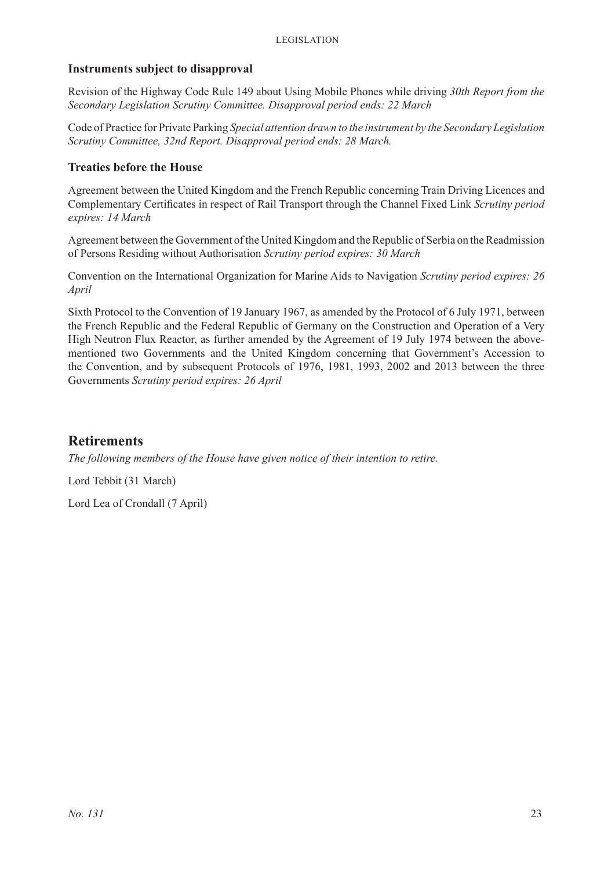#### **Instruments subject to disapproval**

Revision of the Highway Code Rule 149 about Using Mobile Phones while driving *30th Report from the Secondary Legislation Scrutiny Committee. Disapproval period ends: 22 March*

Code of Practice for Private Parking *Special attention drawn to the instrument by the Secondary Legislation Scrutiny Committee, 32nd Report. Disapproval period ends: 28 March.*

#### **Treaties before the House**

Agreement between the United Kingdom and the French Republic concerning Train Driving Licences and Complementary Certificates in respect of Rail Transport through the Channel Fixed Link *Scrutiny period expires: 14 March*

Agreement between the Government of the United Kingdom and the Republic of Serbia on the Readmission of Persons Residing without Authorisation *Scrutiny period expires: 30 March*

Convention on the International Organization for Marine Aids to Navigation *Scrutiny period expires: 26 April*

Sixth Protocol to the Convention of 19 January 1967, as amended by the Protocol of 6 July 1971, between the French Republic and the Federal Republic of Germany on the Construction and Operation of a Very High Neutron Flux Reactor, as further amended by the Agreement of 19 July 1974 between the abovementioned two Governments and the United Kingdom concerning that Government's Accession to the Convention, and by subsequent Protocols of 1976, 1981, 1993, 2002 and 2013 between the three Governments *Scrutiny period expires: 26 April*

### **Retirements**

*The following members of the House have given notice of their intention to retire.*

Lord Tebbit (31 March)

Lord Lea of Crondall (7 April)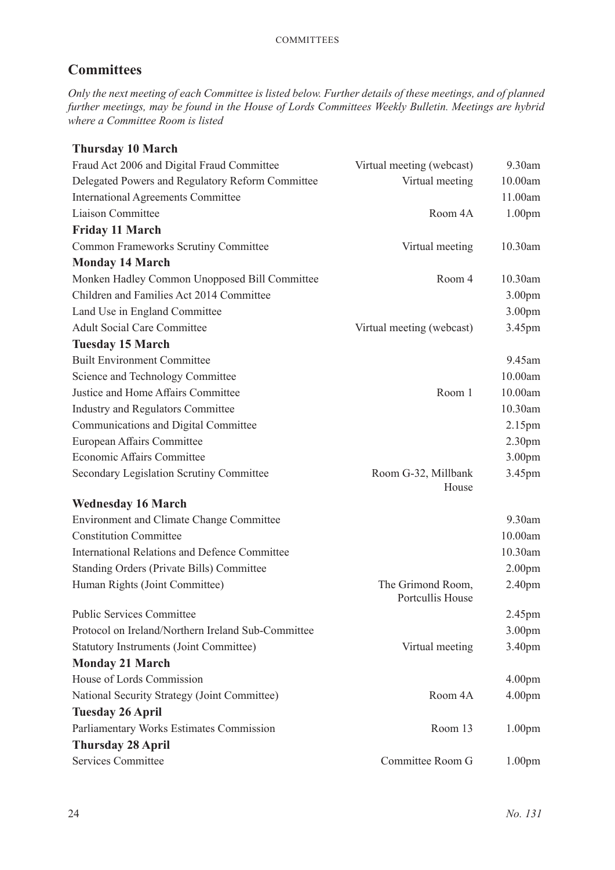### **Committees**

*Only the next meeting of each Committee is listed below. Further details of these meetings, and of planned further meetings, may be found in the House of Lords Committees Weekly Bulletin. Meetings are hybrid where a Committee Room is listed*

### **Thursday 10 March**

| Fraud Act 2006 and Digital Fraud Committee           | Virtual meeting (webcast)             | 9.30am             |
|------------------------------------------------------|---------------------------------------|--------------------|
| Delegated Powers and Regulatory Reform Committee     | Virtual meeting                       | 10.00am            |
| <b>International Agreements Committee</b>            |                                       | 11.00am            |
| Liaison Committee                                    | Room 4A                               | 1.00 <sub>pm</sub> |
| <b>Friday 11 March</b>                               |                                       |                    |
| Common Frameworks Scrutiny Committee                 | Virtual meeting                       | 10.30am            |
| <b>Monday 14 March</b>                               |                                       |                    |
| Monken Hadley Common Unopposed Bill Committee        | Room 4                                | 10.30am            |
| Children and Families Act 2014 Committee             |                                       | 3.00pm             |
| Land Use in England Committee                        |                                       | 3.00 <sub>pm</sub> |
| <b>Adult Social Care Committee</b>                   | Virtual meeting (webcast)             | 3.45pm             |
| <b>Tuesday 15 March</b>                              |                                       |                    |
| <b>Built Environment Committee</b>                   |                                       | 9.45am             |
| Science and Technology Committee                     |                                       | 10.00am            |
| Justice and Home Affairs Committee                   | Room 1                                | 10.00am            |
| <b>Industry and Regulators Committee</b>             |                                       | 10.30am            |
| Communications and Digital Committee                 |                                       | 2.15 <sub>pm</sub> |
| European Affairs Committee                           |                                       | 2.30 <sub>pm</sub> |
| Economic Affairs Committee                           |                                       | 3.00 <sub>pm</sub> |
| Secondary Legislation Scrutiny Committee             | Room G-32, Millbank<br>House          | 3.45pm             |
| <b>Wednesday 16 March</b>                            |                                       |                    |
| Environment and Climate Change Committee             |                                       | 9.30am             |
| <b>Constitution Committee</b>                        |                                       | 10.00am            |
| <b>International Relations and Defence Committee</b> |                                       | 10.30am            |
| <b>Standing Orders (Private Bills) Committee</b>     |                                       | 2.00 <sub>pm</sub> |
| Human Rights (Joint Committee)                       | The Grimond Room,<br>Portcullis House | 2.40pm             |
| <b>Public Services Committee</b>                     |                                       | 2.45 <sub>pm</sub> |
| Protocol on Ireland/Northern Ireland Sub-Committee   |                                       | 3.00 <sub>pm</sub> |
| <b>Statutory Instruments (Joint Committee)</b>       | Virtual meeting                       | 3.40pm             |
| <b>Monday 21 March</b>                               |                                       |                    |
| House of Lords Commission                            |                                       | 4.00 <sub>pm</sub> |
| National Security Strategy (Joint Committee)         | Room 4A                               | 4.00 <sub>pm</sub> |
| <b>Tuesday 26 April</b>                              |                                       |                    |
| Parliamentary Works Estimates Commission             | Room 13                               | 1.00 <sub>pm</sub> |
| <b>Thursday 28 April</b>                             |                                       |                    |
| Services Committee                                   | Committee Room G                      | 1.00 <sub>pm</sub> |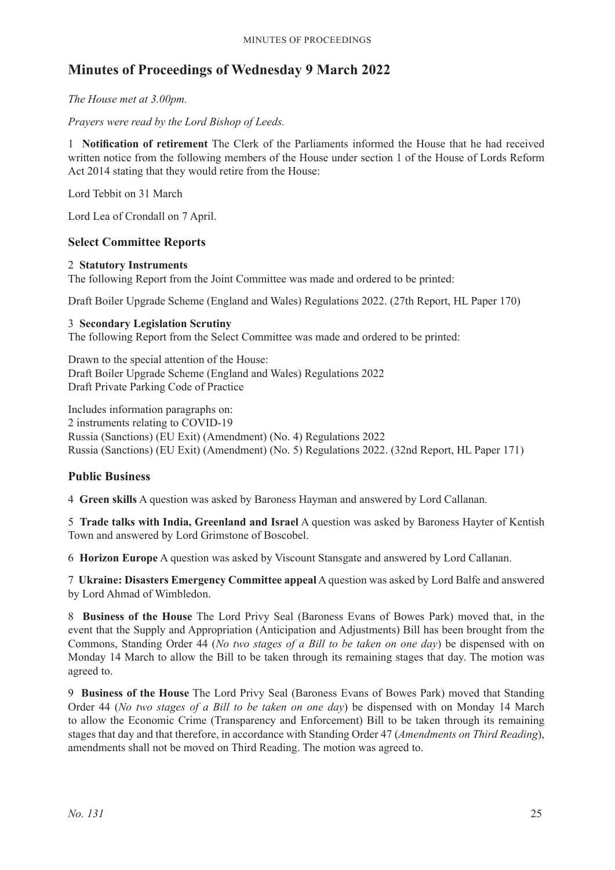### **Minutes of Proceedings of Wednesday 9 March 2022**

*The House met at 3.00pm.*

*Prayers were read by the Lord Bishop of Leeds.*

1 **Notification of retirement** The Clerk of the Parliaments informed the House that he had received written notice from the following members of the House under section 1 of the House of Lords Reform Act 2014 stating that they would retire from the House:

Lord Tebbit on 31 March

Lord Lea of Crondall on 7 April.

### **Select Committee Reports**

#### 2 **Statutory Instruments**

The following Report from the Joint Committee was made and ordered to be printed:

Draft Boiler Upgrade Scheme (England and Wales) Regulations 2022. (27th Report, HL Paper 170)

#### 3 **Secondary Legislation Scrutiny**

The following Report from the Select Committee was made and ordered to be printed:

Drawn to the special attention of the House: Draft Boiler Upgrade Scheme (England and Wales) Regulations 2022 Draft Private Parking Code of Practice

Includes information paragraphs on:

2 instruments relating to COVID-19

Russia (Sanctions) (EU Exit) (Amendment) (No. 4) Regulations 2022 Russia (Sanctions) (EU Exit) (Amendment) (No. 5) Regulations 2022. (32nd Report, HL Paper 171)

#### **Public Business**

4 **Green skills** A question was asked by Baroness Hayman and answered by Lord Callanan.

5 **Trade talks with India, Greenland and Israel** A question was asked by Baroness Hayter of Kentish Town and answered by Lord Grimstone of Boscobel.

6 **Horizon Europe** A question was asked by Viscount Stansgate and answered by Lord Callanan.

7 **Ukraine: Disasters Emergency Committee appeal** A question was asked by Lord Balfe and answered by Lord Ahmad of Wimbledon.

8 **Business of the House** The Lord Privy Seal (Baroness Evans of Bowes Park) moved that, in the event that the Supply and Appropriation (Anticipation and Adjustments) Bill has been brought from the Commons, Standing Order 44 (*No two stages of a Bill to be taken on one day*) be dispensed with on Monday 14 March to allow the Bill to be taken through its remaining stages that day. The motion was agreed to.

9 **Business of the House** The Lord Privy Seal (Baroness Evans of Bowes Park) moved that Standing Order 44 (*No two stages of a Bill to be taken on one day*) be dispensed with on Monday 14 March to allow the Economic Crime (Transparency and Enforcement) Bill to be taken through its remaining stages that day and that therefore, in accordance with Standing Order 47 (*Amendments on Third Reading*), amendments shall not be moved on Third Reading. The motion was agreed to.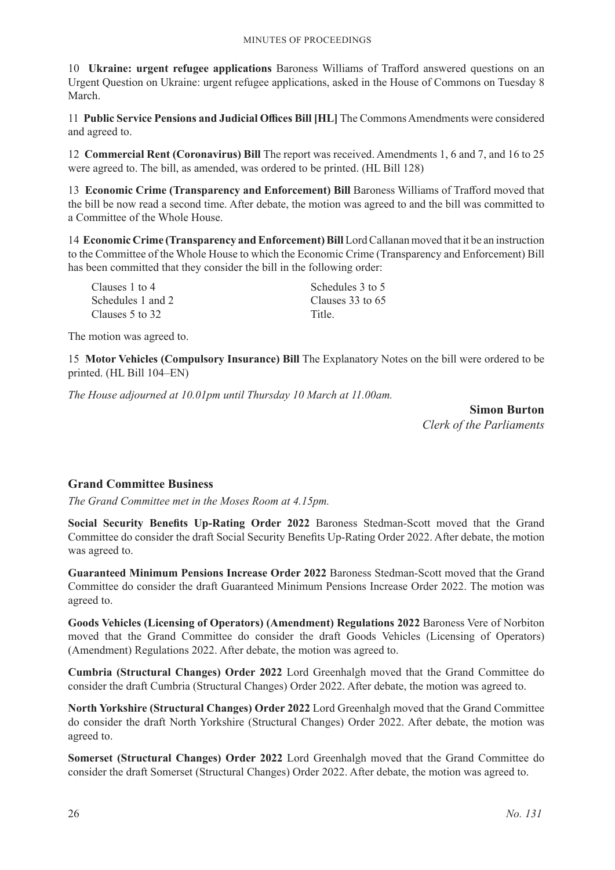10 **Ukraine: urgent refugee applications** Baroness Williams of Trafford answered questions on an Urgent Question on Ukraine: urgent refugee applications, asked in the House of Commons on Tuesday 8 March.

11 **Public Service Pensions and Judicial Offices Bill [HL]** The Commons Amendments were considered and agreed to.

12 **Commercial Rent (Coronavirus) Bill** The report was received. Amendments 1, 6 and 7, and 16 to 25 were agreed to. The bill, as amended, was ordered to be printed. (HL Bill 128)

13 **Economic Crime (Transparency and Enforcement) Bill** Baroness Williams of Trafford moved that the bill be now read a second time. After debate, the motion was agreed to and the bill was committed to a Committee of the Whole House.

14 **Economic Crime (Transparency and Enforcement) Bill** Lord Callanan moved that it be an instruction to the Committee of the Whole House to which the Economic Crime (Transparency and Enforcement) Bill has been committed that they consider the bill in the following order:

| Schedules 3 to 5 |
|------------------|
| Clauses 33 to 65 |
| Title.           |
|                  |

The motion was agreed to.

15 **Motor Vehicles (Compulsory Insurance) Bill** The Explanatory Notes on the bill were ordered to be printed. (HL Bill 104–EN)

*The House adjourned at 10.01pm until Thursday 10 March at 11.00am.*

**Simon Burton** *Clerk of the Parliaments*

### **Grand Committee Business**

*The Grand Committee met in the Moses Room at 4.15pm.*

**Social Security Benefits Up-Rating Order 2022** Baroness Stedman-Scott moved that the Grand Committee do consider the draft Social Security Benefits Up-Rating Order 2022. After debate, the motion was agreed to.

**Guaranteed Minimum Pensions Increase Order 2022** Baroness Stedman-Scott moved that the Grand Committee do consider the draft Guaranteed Minimum Pensions Increase Order 2022. The motion was agreed to.

**Goods Vehicles (Licensing of Operators) (Amendment) Regulations 2022** Baroness Vere of Norbiton moved that the Grand Committee do consider the draft Goods Vehicles (Licensing of Operators) (Amendment) Regulations 2022. After debate, the motion was agreed to.

**Cumbria (Structural Changes) Order 2022** Lord Greenhalgh moved that the Grand Committee do consider the draft Cumbria (Structural Changes) Order 2022. After debate, the motion was agreed to.

**North Yorkshire (Structural Changes) Order 2022** Lord Greenhalgh moved that the Grand Committee do consider the draft North Yorkshire (Structural Changes) Order 2022. After debate, the motion was agreed to.

**Somerset (Structural Changes) Order 2022** Lord Greenhalgh moved that the Grand Committee do consider the draft Somerset (Structural Changes) Order 2022. After debate, the motion was agreed to.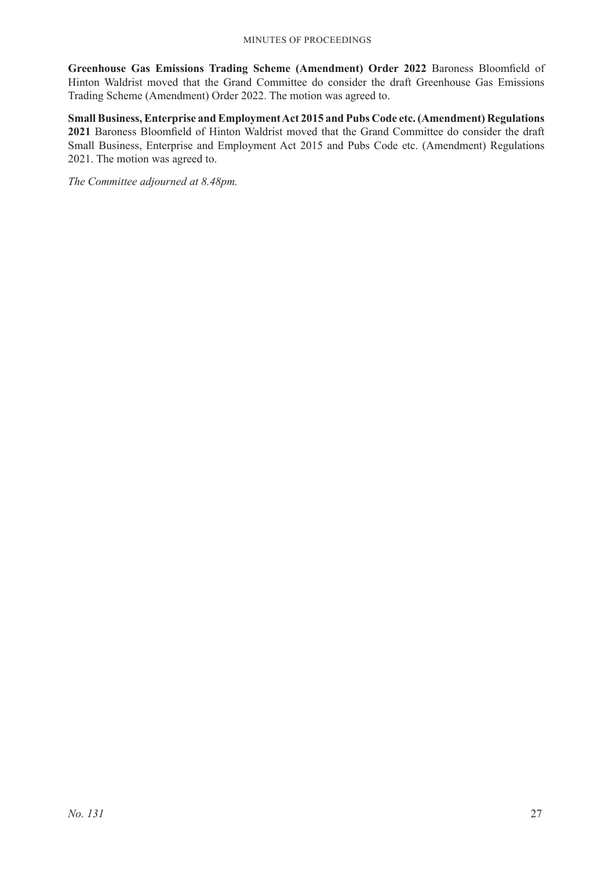**Greenhouse Gas Emissions Trading Scheme (Amendment) Order 2022** Baroness Bloomfield of Hinton Waldrist moved that the Grand Committee do consider the draft Greenhouse Gas Emissions Trading Scheme (Amendment) Order 2022. The motion was agreed to.

**Small Business, Enterprise and Employment Act 2015 and Pubs Code etc. (Amendment) Regulations 2021** Baroness Bloomfield of Hinton Waldrist moved that the Grand Committee do consider the draft Small Business, Enterprise and Employment Act 2015 and Pubs Code etc. (Amendment) Regulations 2021. The motion was agreed to.

*The Committee adjourned at 8.48pm.*